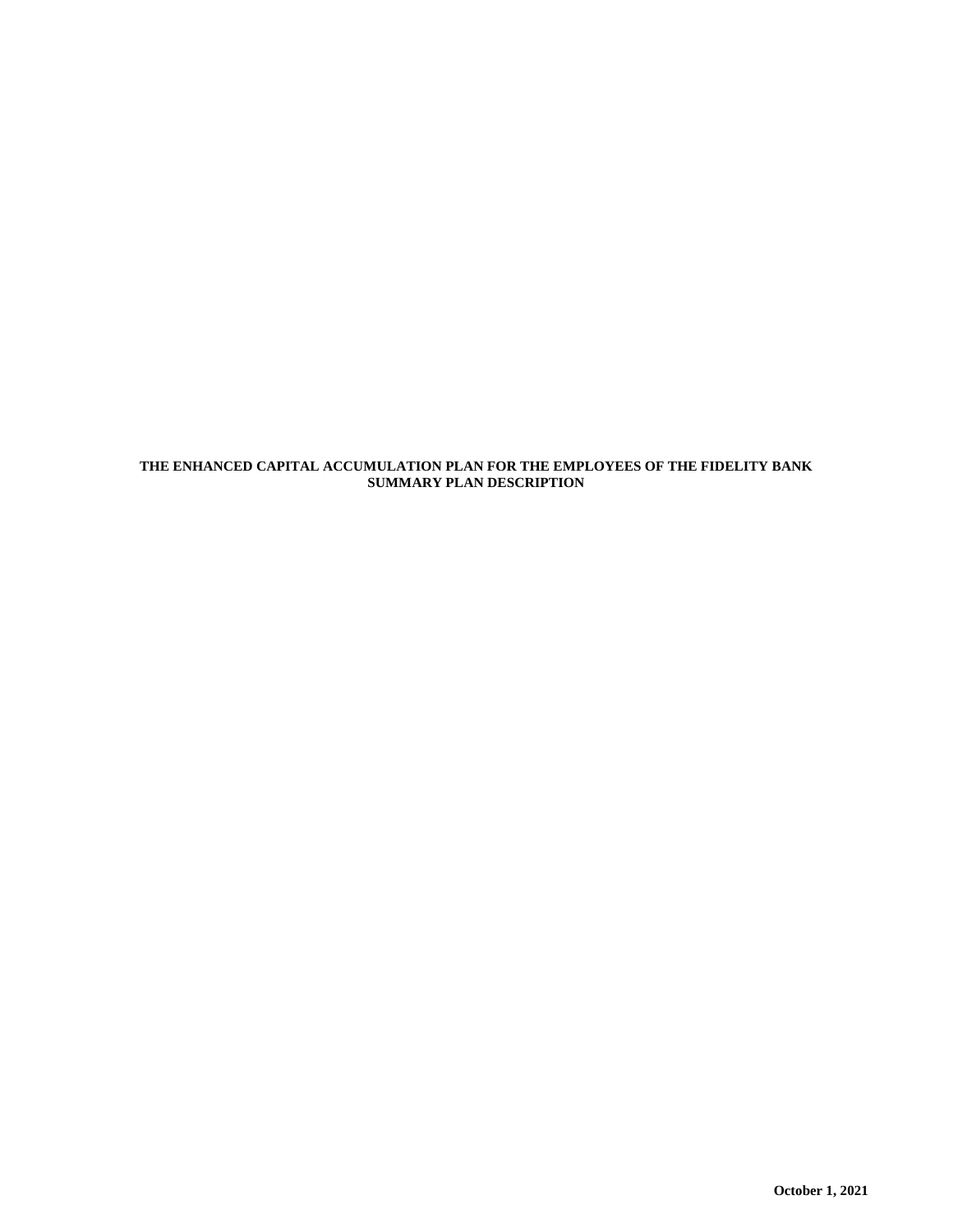# **THE ENHANCED CAPITAL ACCUMULATION PLAN FOR THE EMPLOYEES OF THE FIDELITY BANK SUMMARY PLAN DESCRIPTION**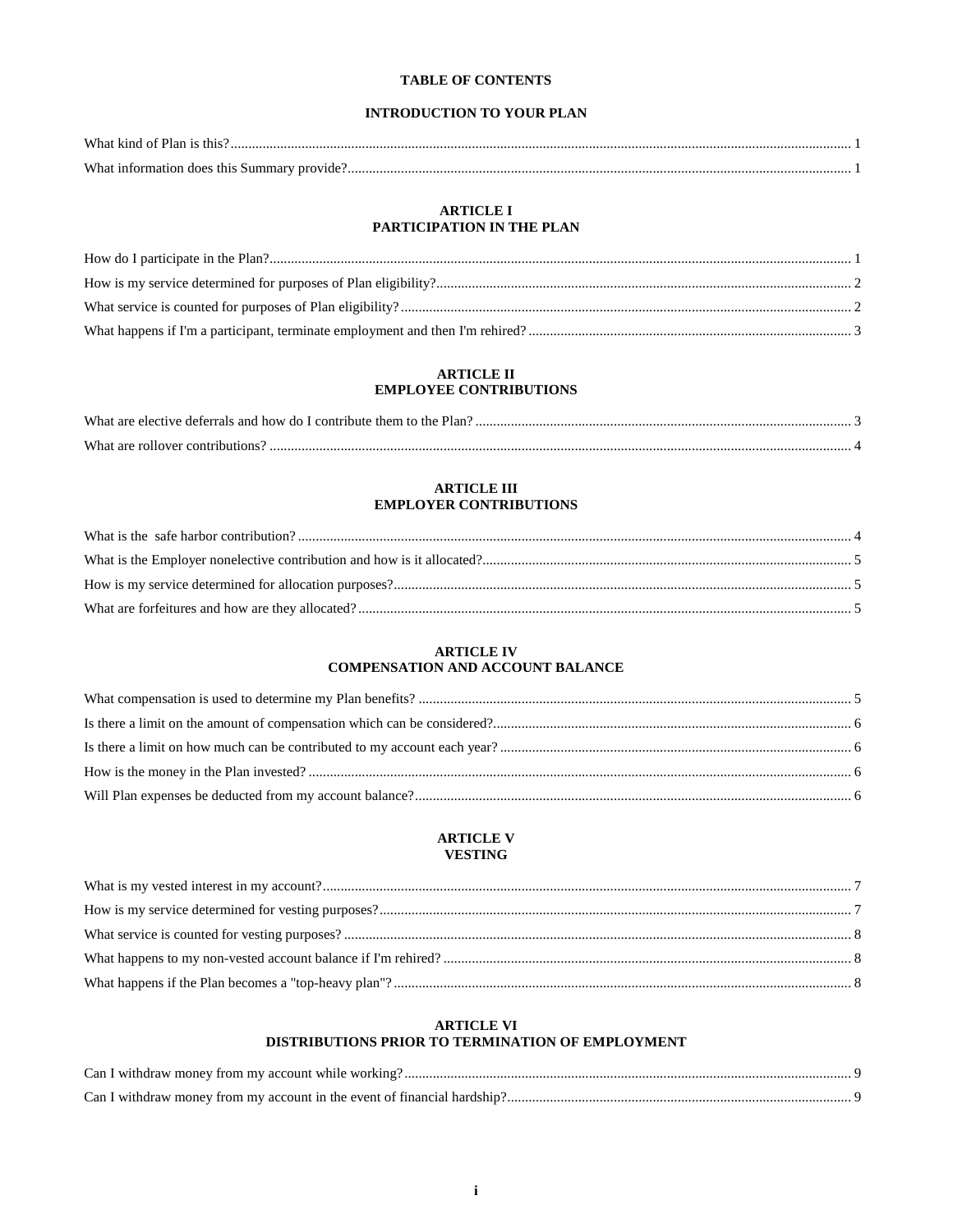# **TABLE OF CONTENTS**

# **INTRODUCTION TO YOUR PLAN**

# **ARTICLE I** PARTICIPATION IN THE PLAN

# **ARTICLE II EMPLOYEE CONTRIBUTIONS**

| What<br>ective deferrals and<br>∣ how do⊥<br>. contribute<br>lar |  |
|------------------------------------------------------------------|--|
| What                                                             |  |

# **ARTICLE III EMPLOYER CONTRIBUTIONS**

# **ARTICLE IV COMPENSATION AND ACCOUNT BALANCE**

## **ARTICLE V VESTING**

# **ARTICLE VI** DISTRIBUTIONS PRIOR TO TERMINATION OF EMPLOYMENT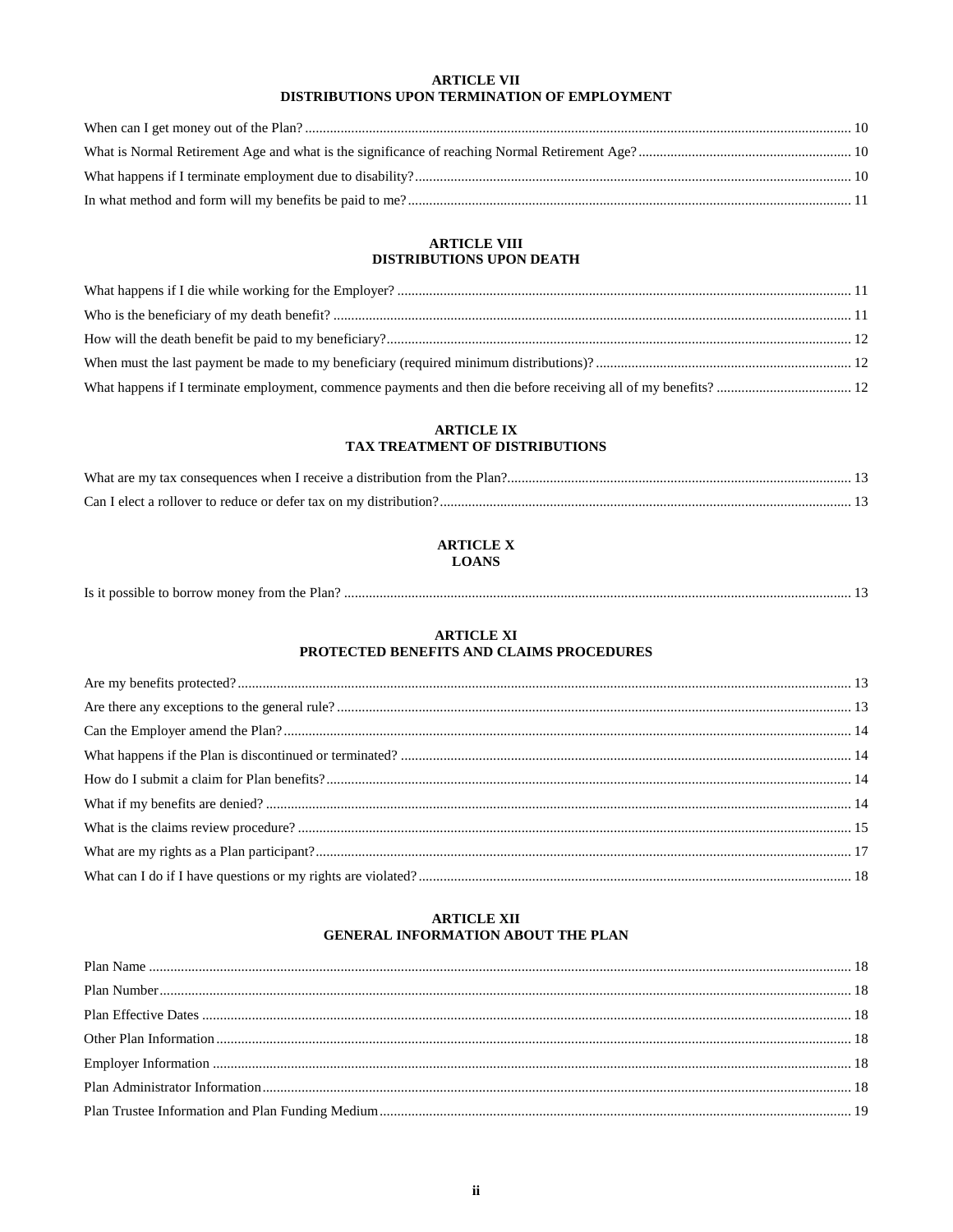# **ARTICLE VII** DISTRIBUTIONS UPON TERMINATION OF EMPLOYMENT

# **ARTICLE VIII** DISTRIBUTIONS UPON DEATH

# **ARTICLE IX** TAX TREATMENT OF DISTRIBUTIONS

# **ARTICLE X LOANS**

| Is it possible to borrow money from the Plan?. |  |
|------------------------------------------------|--|
|------------------------------------------------|--|

# **ARTICLE XI** PROTECTED BENEFITS AND CLAIMS PROCEDURES

# **ARTICLE XII GENERAL INFORMATION ABOUT THE PLAN**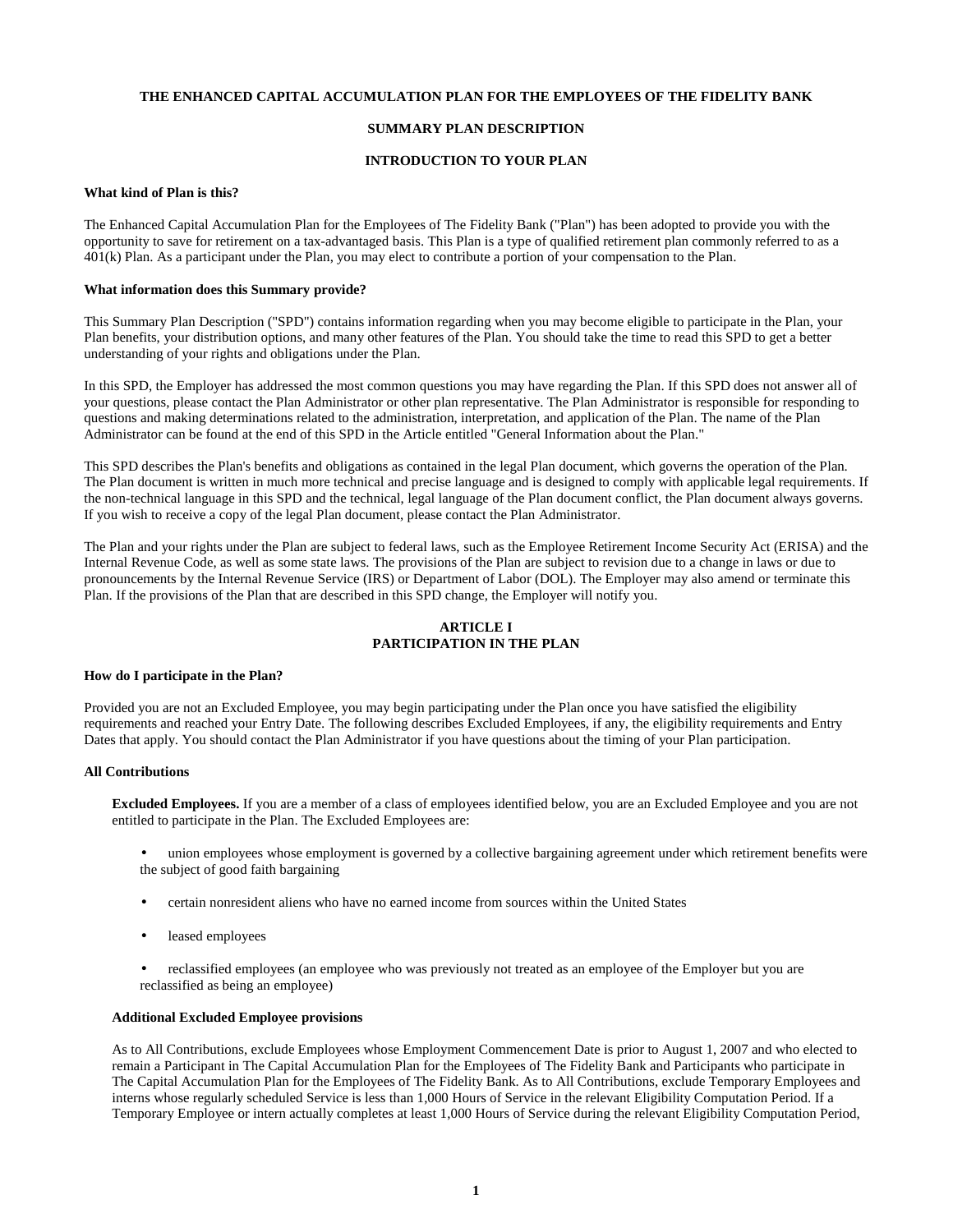# **THE ENHANCED CAPITAL ACCUMULATION PLAN FOR THE EMPLOYEES OF THE FIDELITY BANK**

# **SUMMARY PLAN DESCRIPTION**

## **INTRODUCTION TO YOUR PLAN**

#### **What kind of Plan is this?**

The Enhanced Capital Accumulation Plan for the Employees of The Fidelity Bank ("Plan") has been adopted to provide you with the opportunity to save for retirement on a tax-advantaged basis. This Plan is a type of qualified retirement plan commonly referred to as a 401(k) Plan. As a participant under the Plan, you may elect to contribute a portion of your compensation to the Plan.

### **What information does this Summary provide?**

This Summary Plan Description ("SPD") contains information regarding when you may become eligible to participate in the Plan, your Plan benefits, your distribution options, and many other features of the Plan. You should take the time to read this SPD to get a better understanding of your rights and obligations under the Plan.

In this SPD, the Employer has addressed the most common questions you may have regarding the Plan. If this SPD does not answer all of your questions, please contact the Plan Administrator or other plan representative. The Plan Administrator is responsible for responding to questions and making determinations related to the administration, interpretation, and application of the Plan. The name of the Plan Administrator can be found at the end of this SPD in the Article entitled "General Information about the Plan."

This SPD describes the Plan's benefits and obligations as contained in the legal Plan document, which governs the operation of the Plan. The Plan document is written in much more technical and precise language and is designed to comply with applicable legal requirements. If the non-technical language in this SPD and the technical, legal language of the Plan document conflict, the Plan document always governs. If you wish to receive a copy of the legal Plan document, please contact the Plan Administrator.

The Plan and your rights under the Plan are subject to federal laws, such as the Employee Retirement Income Security Act (ERISA) and the Internal Revenue Code, as well as some state laws. The provisions of the Plan are subject to revision due to a change in laws or due to pronouncements by the Internal Revenue Service (IRS) or Department of Labor (DOL). The Employer may also amend or terminate this Plan. If the provisions of the Plan that are described in this SPD change, the Employer will notify you.

# **ARTICLE I PARTICIPATION IN THE PLAN**

# **How do I participate in the Plan?**

Provided you are not an Excluded Employee, you may begin participating under the Plan once you have satisfied the eligibility requirements and reached your Entry Date. The following describes Excluded Employees, if any, the eligibility requirements and Entry Dates that apply. You should contact the Plan Administrator if you have questions about the timing of your Plan participation.

# **All Contributions**

**Excluded Employees.** If you are a member of a class of employees identified below, you are an Excluded Employee and you are not entitled to participate in the Plan. The Excluded Employees are:

- union employees whose employment is governed by a collective bargaining agreement under which retirement benefits were the subject of good faith bargaining
- certain nonresident aliens who have no earned income from sources within the United States
- leased employees
- reclassified employees (an employee who was previously not treated as an employee of the Employer but you are reclassified as being an employee)

# **Additional Excluded Employee provisions**

As to All Contributions, exclude Employees whose Employment Commencement Date is prior to August 1, 2007 and who elected to remain a Participant in The Capital Accumulation Plan for the Employees of The Fidelity Bank and Participants who participate in The Capital Accumulation Plan for the Employees of The Fidelity Bank. As to All Contributions, exclude Temporary Employees and interns whose regularly scheduled Service is less than 1,000 Hours of Service in the relevant Eligibility Computation Period. If a Temporary Employee or intern actually completes at least 1,000 Hours of Service during the relevant Eligibility Computation Period,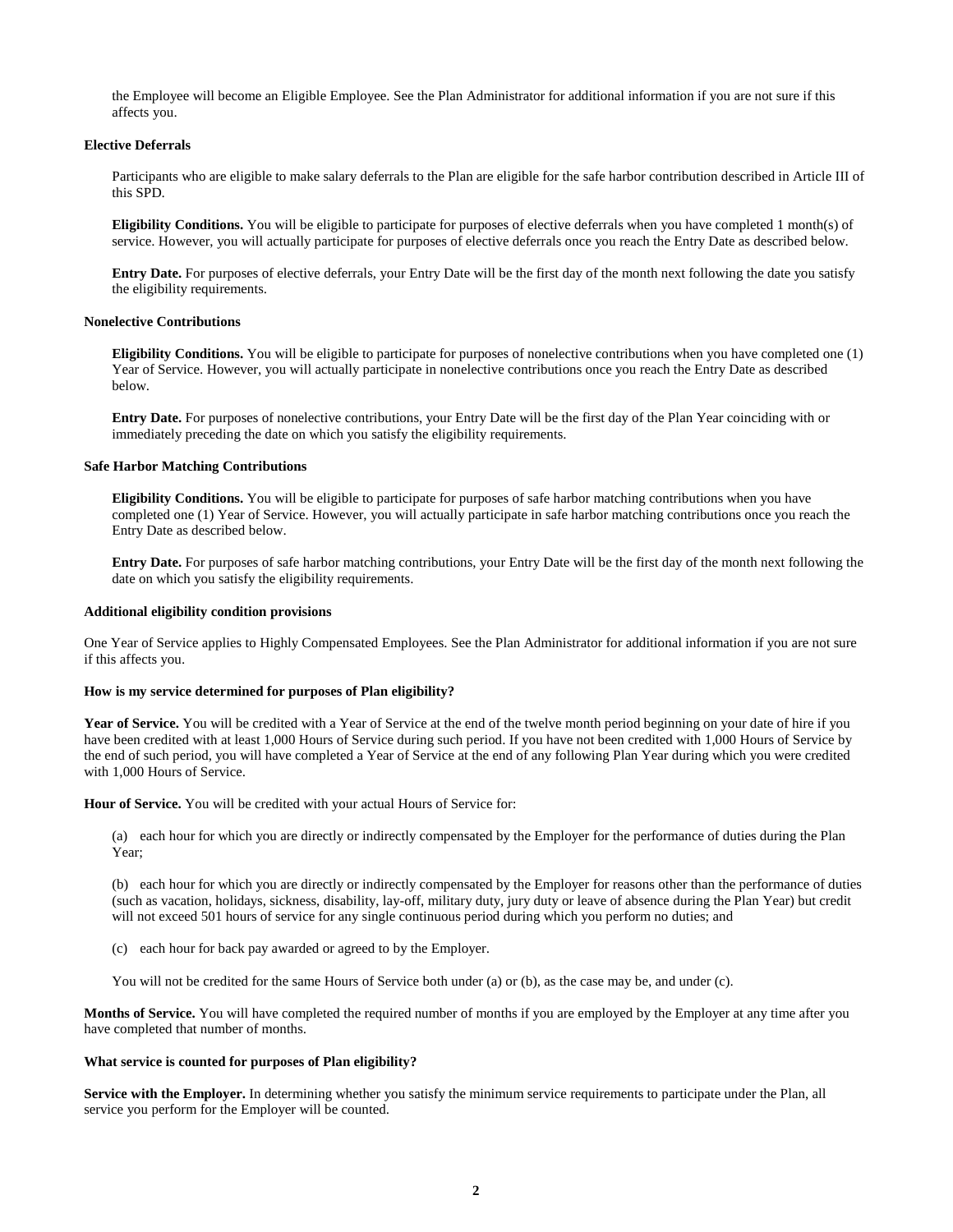the Employee will become an Eligible Employee. See the Plan Administrator for additional information if you are not sure if this affects you.

## **Elective Deferrals**

Participants who are eligible to make salary deferrals to the Plan are eligible for the safe harbor contribution described in Article III of this SPD.

**Eligibility Conditions.** You will be eligible to participate for purposes of elective deferrals when you have completed 1 month(s) of service. However, you will actually participate for purposes of elective deferrals once you reach the Entry Date as described below.

**Entry Date.** For purposes of elective deferrals, your Entry Date will be the first day of the month next following the date you satisfy the eligibility requirements.

#### **Nonelective Contributions**

**Eligibility Conditions.** You will be eligible to participate for purposes of nonelective contributions when you have completed one (1) Year of Service. However, you will actually participate in nonelective contributions once you reach the Entry Date as described below.

**Entry Date.** For purposes of nonelective contributions, your Entry Date will be the first day of the Plan Year coinciding with or immediately preceding the date on which you satisfy the eligibility requirements.

#### **Safe Harbor Matching Contributions**

**Eligibility Conditions.** You will be eligible to participate for purposes of safe harbor matching contributions when you have completed one (1) Year of Service. However, you will actually participate in safe harbor matching contributions once you reach the Entry Date as described below.

**Entry Date.** For purposes of safe harbor matching contributions, your Entry Date will be the first day of the month next following the date on which you satisfy the eligibility requirements.

#### **Additional eligibility condition provisions**

One Year of Service applies to Highly Compensated Employees. See the Plan Administrator for additional information if you are not sure if this affects you.

#### **How is my service determined for purposes of Plan eligibility?**

Year of Service. You will be credited with a Year of Service at the end of the twelve month period beginning on your date of hire if you have been credited with at least 1,000 Hours of Service during such period. If you have not been credited with 1,000 Hours of Service by the end of such period, you will have completed a Year of Service at the end of any following Plan Year during which you were credited with 1,000 Hours of Service.

**Hour of Service.** You will be credited with your actual Hours of Service for:

(a) each hour for which you are directly or indirectly compensated by the Employer for the performance of duties during the Plan Year;

(b) each hour for which you are directly or indirectly compensated by the Employer for reasons other than the performance of duties (such as vacation, holidays, sickness, disability, lay-off, military duty, jury duty or leave of absence during the Plan Year) but credit will not exceed 501 hours of service for any single continuous period during which you perform no duties; and

(c) each hour for back pay awarded or agreed to by the Employer.

You will not be credited for the same Hours of Service both under (a) or (b), as the case may be, and under (c).

**Months of Service.** You will have completed the required number of months if you are employed by the Employer at any time after you have completed that number of months.

#### **What service is counted for purposes of Plan eligibility?**

**Service with the Employer.** In determining whether you satisfy the minimum service requirements to participate under the Plan, all service you perform for the Employer will be counted.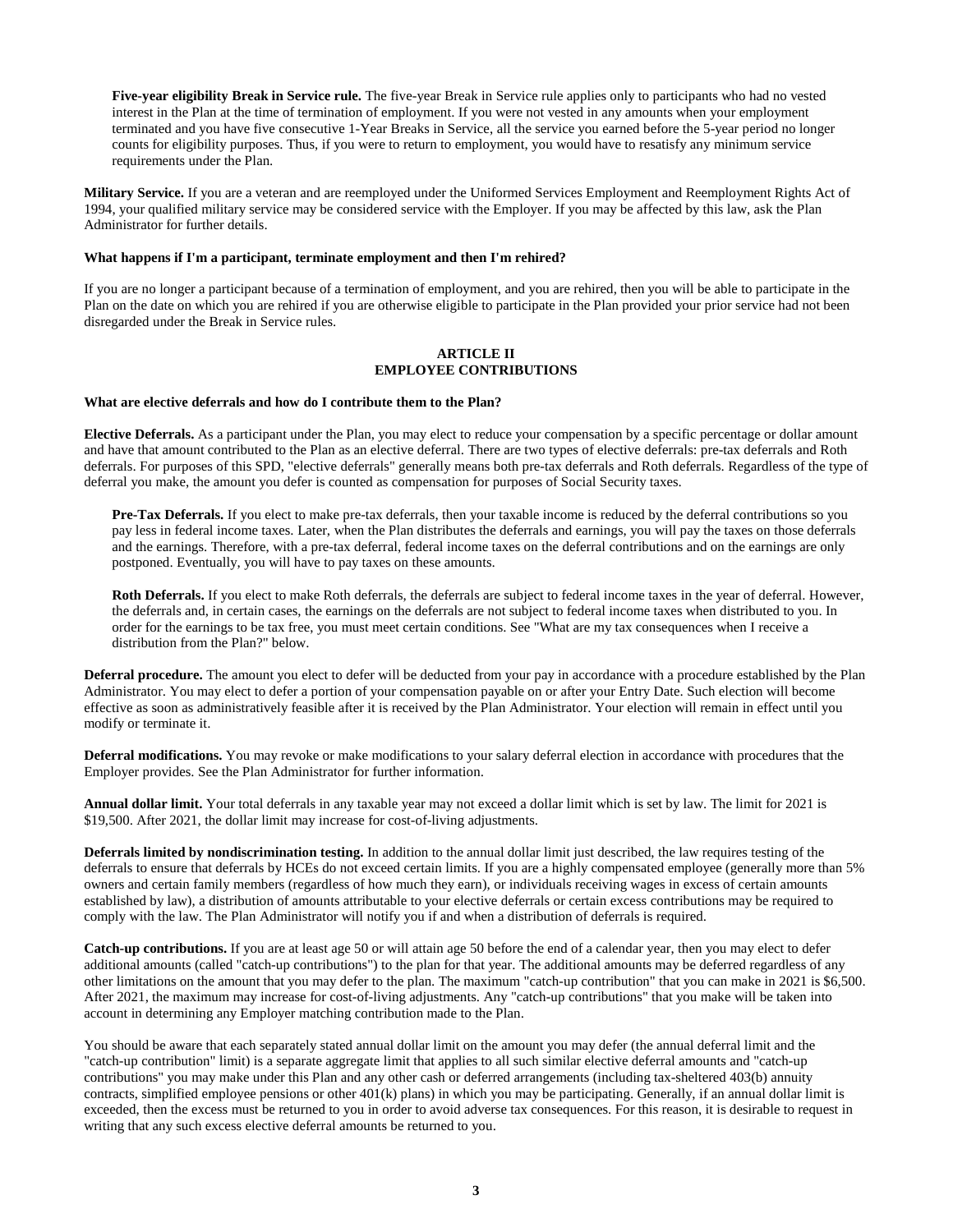**Five-year eligibility Break in Service rule.** The five-year Break in Service rule applies only to participants who had no vested interest in the Plan at the time of termination of employment. If you were not vested in any amounts when your employment terminated and you have five consecutive 1-Year Breaks in Service, all the service you earned before the 5-year period no longer counts for eligibility purposes. Thus, if you were to return to employment, you would have to resatisfy any minimum service requirements under the Plan.

**Military Service.** If you are a veteran and are reemployed under the Uniformed Services Employment and Reemployment Rights Act of 1994, your qualified military service may be considered service with the Employer. If you may be affected by this law, ask the Plan Administrator for further details.

## **What happens if I'm a participant, terminate employment and then I'm rehired?**

If you are no longer a participant because of a termination of employment, and you are rehired, then you will be able to participate in the Plan on the date on which you are rehired if you are otherwise eligible to participate in the Plan provided your prior service had not been disregarded under the Break in Service rules.

# **ARTICLE II EMPLOYEE CONTRIBUTIONS**

#### **What are elective deferrals and how do I contribute them to the Plan?**

**Elective Deferrals.** As a participant under the Plan, you may elect to reduce your compensation by a specific percentage or dollar amount and have that amount contributed to the Plan as an elective deferral. There are two types of elective deferrals: pre-tax deferrals and Roth deferrals. For purposes of this SPD, "elective deferrals" generally means both pre-tax deferrals and Roth deferrals. Regardless of the type of deferral you make, the amount you defer is counted as compensation for purposes of Social Security taxes.

**Pre-Tax Deferrals.** If you elect to make pre-tax deferrals, then your taxable income is reduced by the deferral contributions so you pay less in federal income taxes. Later, when the Plan distributes the deferrals and earnings, you will pay the taxes on those deferrals and the earnings. Therefore, with a pre-tax deferral, federal income taxes on the deferral contributions and on the earnings are only postponed. Eventually, you will have to pay taxes on these amounts.

**Roth Deferrals.** If you elect to make Roth deferrals, the deferrals are subject to federal income taxes in the year of deferral. However, the deferrals and, in certain cases, the earnings on the deferrals are not subject to federal income taxes when distributed to you. In order for the earnings to be tax free, you must meet certain conditions. See "What are my tax consequences when I receive a distribution from the Plan?" below.

**Deferral procedure.** The amount you elect to defer will be deducted from your pay in accordance with a procedure established by the Plan Administrator. You may elect to defer a portion of your compensation payable on or after your Entry Date. Such election will become effective as soon as administratively feasible after it is received by the Plan Administrator. Your election will remain in effect until you modify or terminate it.

**Deferral modifications.** You may revoke or make modifications to your salary deferral election in accordance with procedures that the Employer provides. See the Plan Administrator for further information.

**Annual dollar limit.** Your total deferrals in any taxable year may not exceed a dollar limit which is set by law. The limit for 2021 is \$19,500. After 2021, the dollar limit may increase for cost-of-living adjustments.

**Deferrals limited by nondiscrimination testing.** In addition to the annual dollar limit just described, the law requires testing of the deferrals to ensure that deferrals by HCEs do not exceed certain limits. If you are a highly compensated employee (generally more than 5% owners and certain family members (regardless of how much they earn), or individuals receiving wages in excess of certain amounts established by law), a distribution of amounts attributable to your elective deferrals or certain excess contributions may be required to comply with the law. The Plan Administrator will notify you if and when a distribution of deferrals is required.

**Catch-up contributions.** If you are at least age 50 or will attain age 50 before the end of a calendar year, then you may elect to defer additional amounts (called "catch-up contributions") to the plan for that year. The additional amounts may be deferred regardless of any other limitations on the amount that you may defer to the plan. The maximum "catch-up contribution" that you can make in 2021 is \$6,500. After 2021, the maximum may increase for cost-of-living adjustments. Any "catch-up contributions" that you make will be taken into account in determining any Employer matching contribution made to the Plan.

You should be aware that each separately stated annual dollar limit on the amount you may defer (the annual deferral limit and the "catch-up contribution" limit) is a separate aggregate limit that applies to all such similar elective deferral amounts and "catch-up contributions" you may make under this Plan and any other cash or deferred arrangements (including tax-sheltered 403(b) annuity contracts, simplified employee pensions or other 401(k) plans) in which you may be participating. Generally, if an annual dollar limit is exceeded, then the excess must be returned to you in order to avoid adverse tax consequences. For this reason, it is desirable to request in writing that any such excess elective deferral amounts be returned to you.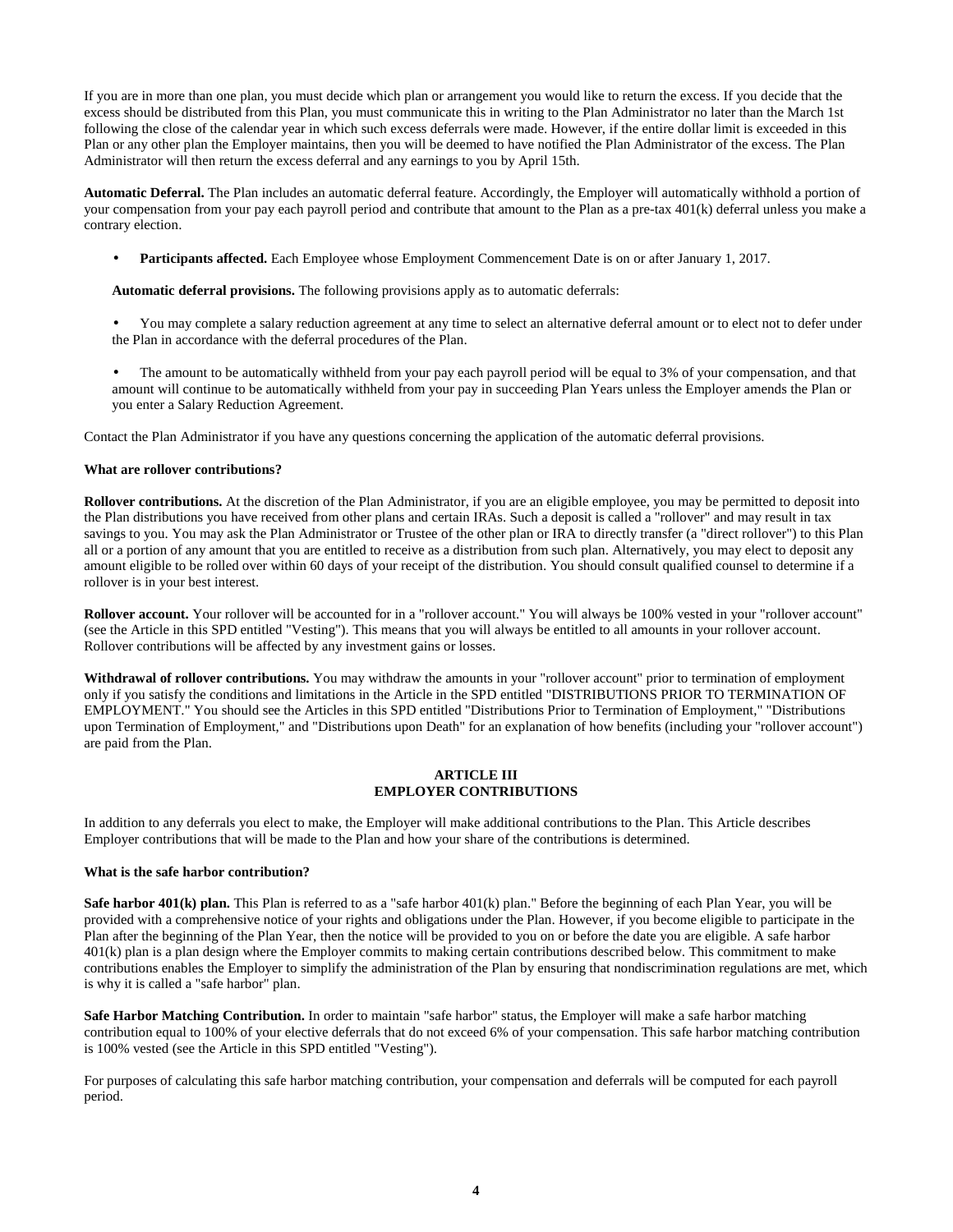If you are in more than one plan, you must decide which plan or arrangement you would like to return the excess. If you decide that the excess should be distributed from this Plan, you must communicate this in writing to the Plan Administrator no later than the March 1st following the close of the calendar year in which such excess deferrals were made. However, if the entire dollar limit is exceeded in this Plan or any other plan the Employer maintains, then you will be deemed to have notified the Plan Administrator of the excess. The Plan Administrator will then return the excess deferral and any earnings to you by April 15th.

**Automatic Deferral.** The Plan includes an automatic deferral feature. Accordingly, the Employer will automatically withhold a portion of your compensation from your pay each payroll period and contribute that amount to the Plan as a pre-tax 401(k) deferral unless you make a contrary election.

• **Participants affected.** Each Employee whose Employment Commencement Date is on or after January 1, 2017.

**Automatic deferral provisions.** The following provisions apply as to automatic deferrals:

- You may complete a salary reduction agreement at any time to select an alternative deferral amount or to elect not to defer under the Plan in accordance with the deferral procedures of the Plan.
- The amount to be automatically withheld from your pay each payroll period will be equal to 3% of your compensation, and that amount will continue to be automatically withheld from your pay in succeeding Plan Years unless the Employer amends the Plan or you enter a Salary Reduction Agreement.

Contact the Plan Administrator if you have any questions concerning the application of the automatic deferral provisions.

## **What are rollover contributions?**

**Rollover contributions.** At the discretion of the Plan Administrator, if you are an eligible employee, you may be permitted to deposit into the Plan distributions you have received from other plans and certain IRAs. Such a deposit is called a "rollover" and may result in tax savings to you. You may ask the Plan Administrator or Trustee of the other plan or IRA to directly transfer (a "direct rollover") to this Plan all or a portion of any amount that you are entitled to receive as a distribution from such plan. Alternatively, you may elect to deposit any amount eligible to be rolled over within 60 days of your receipt of the distribution. You should consult qualified counsel to determine if a rollover is in your best interest.

Rollover account. Your rollover will be accounted for in a "rollover account." You will always be 100% vested in your "rollover account" (see the Article in this SPD entitled "Vesting"). This means that you will always be entitled to all amounts in your rollover account. Rollover contributions will be affected by any investment gains or losses.

**Withdrawal of rollover contributions.** You may withdraw the amounts in your "rollover account" prior to termination of employment only if you satisfy the conditions and limitations in the Article in the SPD entitled "DISTRIBUTIONS PRIOR TO TERMINATION OF EMPLOYMENT." You should see the Articles in this SPD entitled "Distributions Prior to Termination of Employment," "Distributions upon Termination of Employment," and "Distributions upon Death" for an explanation of how benefits (including your "rollover account") are paid from the Plan.

## **ARTICLE III EMPLOYER CONTRIBUTIONS**

In addition to any deferrals you elect to make, the Employer will make additional contributions to the Plan. This Article describes Employer contributions that will be made to the Plan and how your share of the contributions is determined.

## **What is the safe harbor contribution?**

**Safe harbor 401(k) plan.** This Plan is referred to as a "safe harbor 401(k) plan." Before the beginning of each Plan Year, you will be provided with a comprehensive notice of your rights and obligations under the Plan. However, if you become eligible to participate in the Plan after the beginning of the Plan Year, then the notice will be provided to you on or before the date you are eligible. A safe harbor 401(k) plan is a plan design where the Employer commits to making certain contributions described below. This commitment to make contributions enables the Employer to simplify the administration of the Plan by ensuring that nondiscrimination regulations are met, which is why it is called a "safe harbor" plan.

**Safe Harbor Matching Contribution.** In order to maintain "safe harbor" status, the Employer will make a safe harbor matching contribution equal to 100% of your elective deferrals that do not exceed 6% of your compensation. This safe harbor matching contribution is 100% vested (see the Article in this SPD entitled "Vesting").

For purposes of calculating this safe harbor matching contribution, your compensation and deferrals will be computed for each payroll period.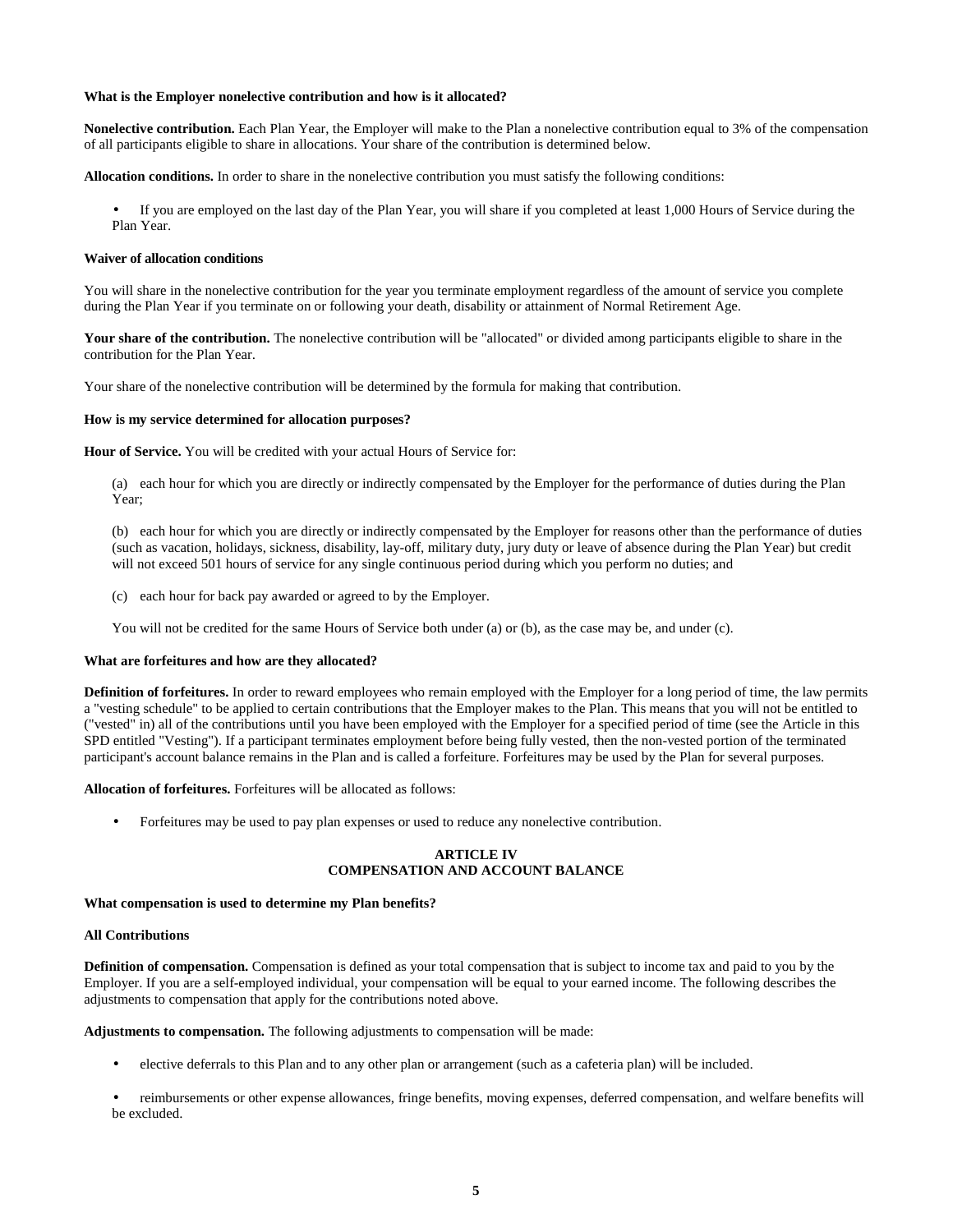### **What is the Employer nonelective contribution and how is it allocated?**

**Nonelective contribution.** Each Plan Year, the Employer will make to the Plan a nonelective contribution equal to 3% of the compensation of all participants eligible to share in allocations. Your share of the contribution is determined below.

**Allocation conditions.** In order to share in the nonelective contribution you must satisfy the following conditions:

• If you are employed on the last day of the Plan Year, you will share if you completed at least 1,000 Hours of Service during the Plan Year.

#### **Waiver of allocation conditions**

You will share in the nonelective contribution for the year you terminate employment regardless of the amount of service you complete during the Plan Year if you terminate on or following your death, disability or attainment of Normal Retirement Age.

Your share of the contribution. The nonelective contribution will be "allocated" or divided among participants eligible to share in the contribution for the Plan Year.

Your share of the nonelective contribution will be determined by the formula for making that contribution.

#### **How is my service determined for allocation purposes?**

**Hour of Service.** You will be credited with your actual Hours of Service for:

(a) each hour for which you are directly or indirectly compensated by the Employer for the performance of duties during the Plan Year;

(b) each hour for which you are directly or indirectly compensated by the Employer for reasons other than the performance of duties (such as vacation, holidays, sickness, disability, lay-off, military duty, jury duty or leave of absence during the Plan Year) but credit will not exceed 501 hours of service for any single continuous period during which you perform no duties; and

(c) each hour for back pay awarded or agreed to by the Employer.

You will not be credited for the same Hours of Service both under (a) or (b), as the case may be, and under (c).

#### **What are forfeitures and how are they allocated?**

**Definition of forfeitures.** In order to reward employees who remain employed with the Employer for a long period of time, the law permits a "vesting schedule" to be applied to certain contributions that the Employer makes to the Plan. This means that you will not be entitled to ("vested" in) all of the contributions until you have been employed with the Employer for a specified period of time (see the Article in this SPD entitled "Vesting"). If a participant terminates employment before being fully vested, then the non-vested portion of the terminated participant's account balance remains in the Plan and is called a forfeiture. Forfeitures may be used by the Plan for several purposes.

**Allocation of forfeitures.** Forfeitures will be allocated as follows:

• Forfeitures may be used to pay plan expenses or used to reduce any nonelective contribution.

# **ARTICLE IV COMPENSATION AND ACCOUNT BALANCE**

#### **What compensation is used to determine my Plan benefits?**

#### **All Contributions**

**Definition of compensation.** Compensation is defined as your total compensation that is subject to income tax and paid to you by the Employer. If you are a self-employed individual, your compensation will be equal to your earned income. The following describes the adjustments to compensation that apply for the contributions noted above.

**Adjustments to compensation.** The following adjustments to compensation will be made:

- elective deferrals to this Plan and to any other plan or arrangement (such as a cafeteria plan) will be included.
- reimbursements or other expense allowances, fringe benefits, moving expenses, deferred compensation, and welfare benefits will be excluded.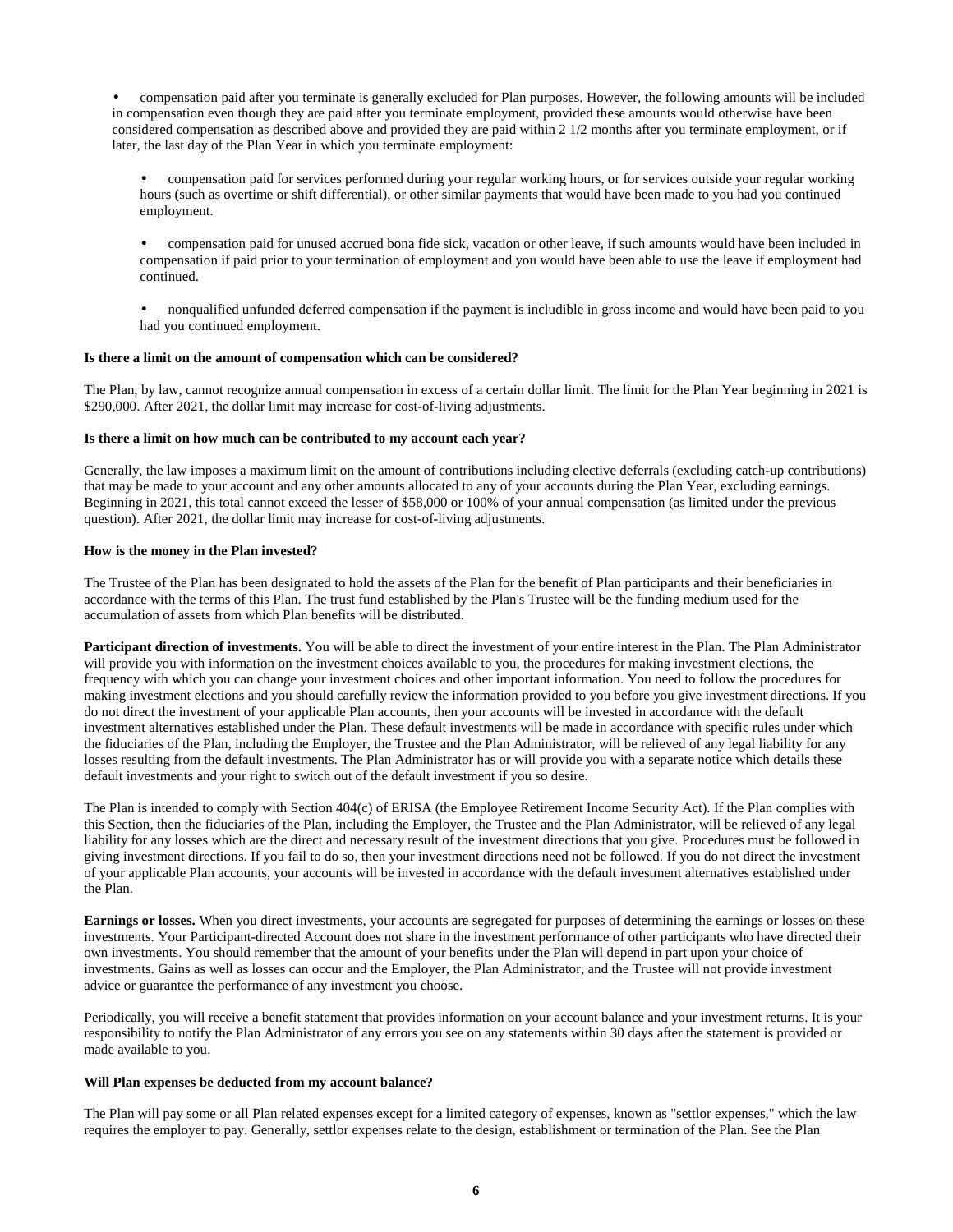• compensation paid after you terminate is generally excluded for Plan purposes. However, the following amounts will be included in compensation even though they are paid after you terminate employment, provided these amounts would otherwise have been considered compensation as described above and provided they are paid within 2 1/2 months after you terminate employment, or if later, the last day of the Plan Year in which you terminate employment:

• compensation paid for services performed during your regular working hours, or for services outside your regular working hours (such as overtime or shift differential), or other similar payments that would have been made to you had you continued employment.

• compensation paid for unused accrued bona fide sick, vacation or other leave, if such amounts would have been included in compensation if paid prior to your termination of employment and you would have been able to use the leave if employment had continued.

• nonqualified unfunded deferred compensation if the payment is includible in gross income and would have been paid to you had you continued employment.

## **Is there a limit on the amount of compensation which can be considered?**

The Plan, by law, cannot recognize annual compensation in excess of a certain dollar limit. The limit for the Plan Year beginning in 2021 is \$290,000. After 2021, the dollar limit may increase for cost-of-living adjustments.

# **Is there a limit on how much can be contributed to my account each year?**

Generally, the law imposes a maximum limit on the amount of contributions including elective deferrals (excluding catch-up contributions) that may be made to your account and any other amounts allocated to any of your accounts during the Plan Year, excluding earnings. Beginning in 2021, this total cannot exceed the lesser of \$58,000 or 100% of your annual compensation (as limited under the previous question). After 2021, the dollar limit may increase for cost-of-living adjustments.

## **How is the money in the Plan invested?**

The Trustee of the Plan has been designated to hold the assets of the Plan for the benefit of Plan participants and their beneficiaries in accordance with the terms of this Plan. The trust fund established by the Plan's Trustee will be the funding medium used for the accumulation of assets from which Plan benefits will be distributed.

**Participant direction of investments.** You will be able to direct the investment of your entire interest in the Plan. The Plan Administrator will provide you with information on the investment choices available to you, the procedures for making investment elections, the frequency with which you can change your investment choices and other important information. You need to follow the procedures for making investment elections and you should carefully review the information provided to you before you give investment directions. If you do not direct the investment of your applicable Plan accounts, then your accounts will be invested in accordance with the default investment alternatives established under the Plan. These default investments will be made in accordance with specific rules under which the fiduciaries of the Plan, including the Employer, the Trustee and the Plan Administrator, will be relieved of any legal liability for any losses resulting from the default investments. The Plan Administrator has or will provide you with a separate notice which details these default investments and your right to switch out of the default investment if you so desire.

The Plan is intended to comply with Section 404(c) of ERISA (the Employee Retirement Income Security Act). If the Plan complies with this Section, then the fiduciaries of the Plan, including the Employer, the Trustee and the Plan Administrator, will be relieved of any legal liability for any losses which are the direct and necessary result of the investment directions that you give. Procedures must be followed in giving investment directions. If you fail to do so, then your investment directions need not be followed. If you do not direct the investment of your applicable Plan accounts, your accounts will be invested in accordance with the default investment alternatives established under the Plan.

**Earnings or losses.** When you direct investments, your accounts are segregated for purposes of determining the earnings or losses on these investments. Your Participant-directed Account does not share in the investment performance of other participants who have directed their own investments. You should remember that the amount of your benefits under the Plan will depend in part upon your choice of investments. Gains as well as losses can occur and the Employer, the Plan Administrator, and the Trustee will not provide investment advice or guarantee the performance of any investment you choose.

Periodically, you will receive a benefit statement that provides information on your account balance and your investment returns. It is your responsibility to notify the Plan Administrator of any errors you see on any statements within 30 days after the statement is provided or made available to you.

## **Will Plan expenses be deducted from my account balance?**

The Plan will pay some or all Plan related expenses except for a limited category of expenses, known as "settlor expenses," which the law requires the employer to pay. Generally, settlor expenses relate to the design, establishment or termination of the Plan. See the Plan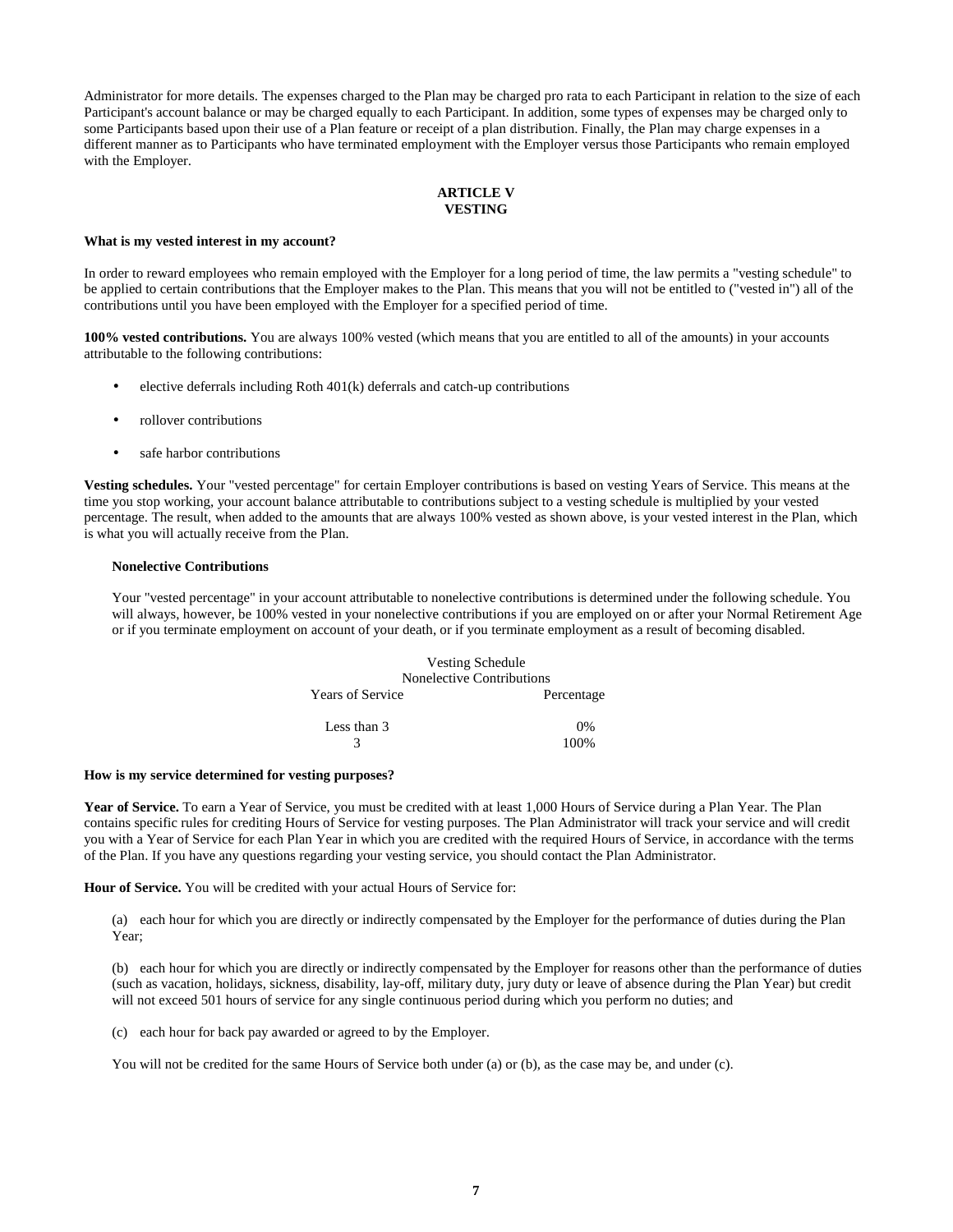Administrator for more details. The expenses charged to the Plan may be charged pro rata to each Participant in relation to the size of each Participant's account balance or may be charged equally to each Participant. In addition, some types of expenses may be charged only to some Participants based upon their use of a Plan feature or receipt of a plan distribution. Finally, the Plan may charge expenses in a different manner as to Participants who have terminated employment with the Employer versus those Participants who remain employed with the Employer.

# **ARTICLE V VESTING**

#### **What is my vested interest in my account?**

In order to reward employees who remain employed with the Employer for a long period of time, the law permits a "vesting schedule" to be applied to certain contributions that the Employer makes to the Plan. This means that you will not be entitled to ("vested in") all of the contributions until you have been employed with the Employer for a specified period of time.

**100% vested contributions.** You are always 100% vested (which means that you are entitled to all of the amounts) in your accounts attributable to the following contributions:

- elective deferrals including Roth  $401(k)$  deferrals and catch-up contributions
- rollover contributions
- safe harbor contributions

**Vesting schedules.** Your "vested percentage" for certain Employer contributions is based on vesting Years of Service. This means at the time you stop working, your account balance attributable to contributions subject to a vesting schedule is multiplied by your vested percentage. The result, when added to the amounts that are always 100% vested as shown above, is your vested interest in the Plan, which is what you will actually receive from the Plan.

#### **Nonelective Contributions**

Your "vested percentage" in your account attributable to nonelective contributions is determined under the following schedule. You will always, however, be 100% vested in your nonelective contributions if you are employed on or after your Normal Retirement Age or if you terminate employment on account of your death, or if you terminate employment as a result of becoming disabled.

|                         | <b>Vesting Schedule</b><br>Nonelective Contributions |            |
|-------------------------|------------------------------------------------------|------------|
| <b>Years of Service</b> |                                                      | Percentage |
| Less than 3             |                                                      | 0%         |
|                         |                                                      | 100%       |

#### **How is my service determined for vesting purposes?**

**Year of Service.** To earn a Year of Service, you must be credited with at least 1,000 Hours of Service during a Plan Year. The Plan contains specific rules for crediting Hours of Service for vesting purposes. The Plan Administrator will track your service and will credit you with a Year of Service for each Plan Year in which you are credited with the required Hours of Service, in accordance with the terms of the Plan. If you have any questions regarding your vesting service, you should contact the Plan Administrator.

**Hour of Service.** You will be credited with your actual Hours of Service for:

(a) each hour for which you are directly or indirectly compensated by the Employer for the performance of duties during the Plan Year;

(b) each hour for which you are directly or indirectly compensated by the Employer for reasons other than the performance of duties (such as vacation, holidays, sickness, disability, lay-off, military duty, jury duty or leave of absence during the Plan Year) but credit will not exceed 501 hours of service for any single continuous period during which you perform no duties; and

(c) each hour for back pay awarded or agreed to by the Employer.

You will not be credited for the same Hours of Service both under (a) or (b), as the case may be, and under (c).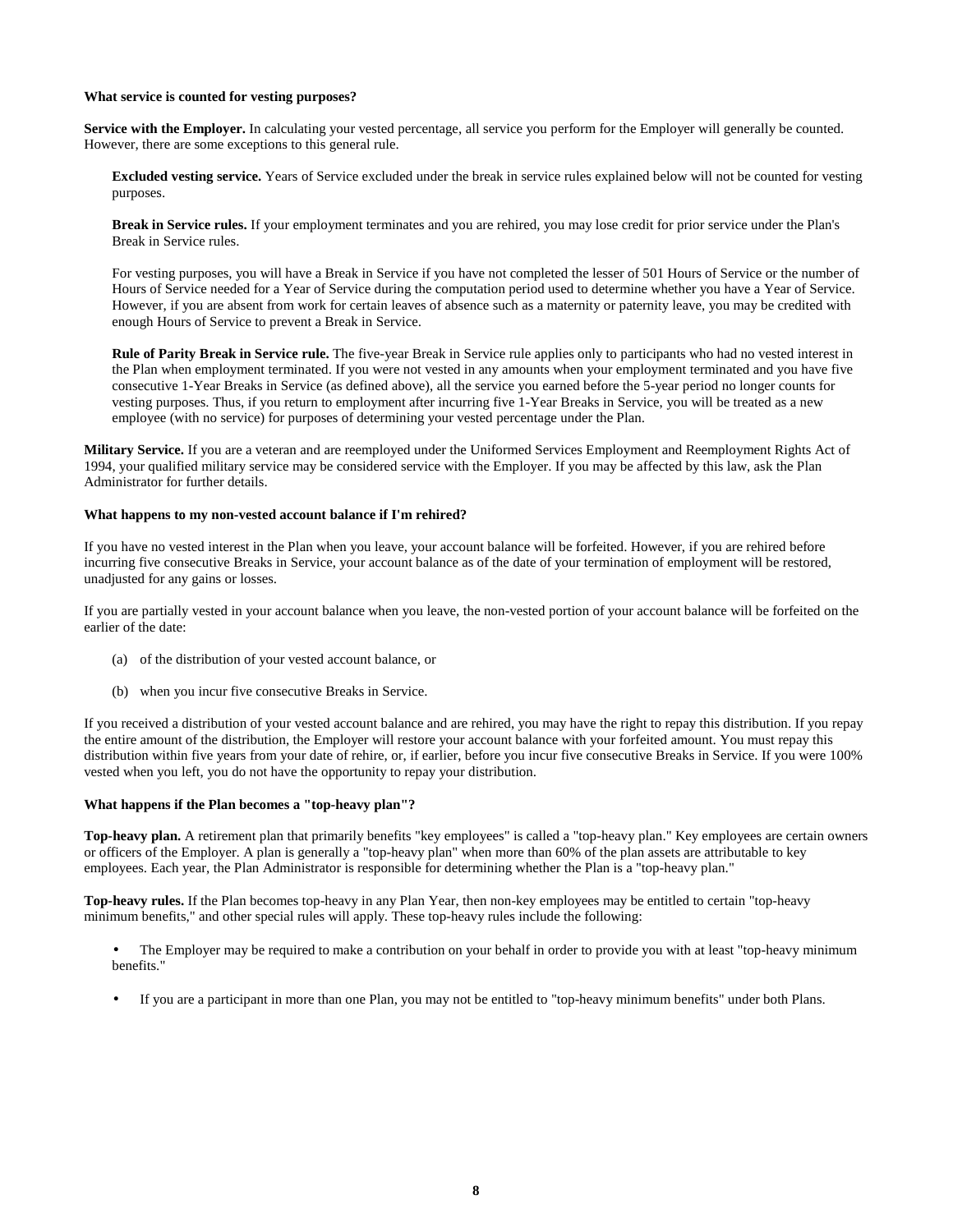### **What service is counted for vesting purposes?**

**Service with the Employer.** In calculating your vested percentage, all service you perform for the Employer will generally be counted. However, there are some exceptions to this general rule.

**Excluded vesting service.** Years of Service excluded under the break in service rules explained below will not be counted for vesting purposes.

**Break in Service rules.** If your employment terminates and you are rehired, you may lose credit for prior service under the Plan's Break in Service rules.

For vesting purposes, you will have a Break in Service if you have not completed the lesser of 501 Hours of Service or the number of Hours of Service needed for a Year of Service during the computation period used to determine whether you have a Year of Service. However, if you are absent from work for certain leaves of absence such as a maternity or paternity leave, you may be credited with enough Hours of Service to prevent a Break in Service.

**Rule of Parity Break in Service rule.** The five-year Break in Service rule applies only to participants who had no vested interest in the Plan when employment terminated. If you were not vested in any amounts when your employment terminated and you have five consecutive 1-Year Breaks in Service (as defined above), all the service you earned before the 5-year period no longer counts for vesting purposes. Thus, if you return to employment after incurring five 1-Year Breaks in Service, you will be treated as a new employee (with no service) for purposes of determining your vested percentage under the Plan.

**Military Service.** If you are a veteran and are reemployed under the Uniformed Services Employment and Reemployment Rights Act of 1994, your qualified military service may be considered service with the Employer. If you may be affected by this law, ask the Plan Administrator for further details.

## **What happens to my non-vested account balance if I'm rehired?**

If you have no vested interest in the Plan when you leave, your account balance will be forfeited. However, if you are rehired before incurring five consecutive Breaks in Service, your account balance as of the date of your termination of employment will be restored, unadjusted for any gains or losses.

If you are partially vested in your account balance when you leave, the non-vested portion of your account balance will be forfeited on the earlier of the date:

- (a) of the distribution of your vested account balance, or
- (b) when you incur five consecutive Breaks in Service.

If you received a distribution of your vested account balance and are rehired, you may have the right to repay this distribution. If you repay the entire amount of the distribution, the Employer will restore your account balance with your forfeited amount. You must repay this distribution within five years from your date of rehire, or, if earlier, before you incur five consecutive Breaks in Service. If you were 100% vested when you left, you do not have the opportunity to repay your distribution.

## **What happens if the Plan becomes a "top-heavy plan"?**

**Top-heavy plan.** A retirement plan that primarily benefits "key employees" is called a "top-heavy plan." Key employees are certain owners or officers of the Employer. A plan is generally a "top-heavy plan" when more than 60% of the plan assets are attributable to key employees. Each year, the Plan Administrator is responsible for determining whether the Plan is a "top-heavy plan."

**Top-heavy rules.** If the Plan becomes top-heavy in any Plan Year, then non-key employees may be entitled to certain "top-heavy minimum benefits," and other special rules will apply. These top-heavy rules include the following:

- The Employer may be required to make a contribution on your behalf in order to provide you with at least "top-heavy minimum benefits."
- If you are a participant in more than one Plan, you may not be entitled to "top-heavy minimum benefits" under both Plans.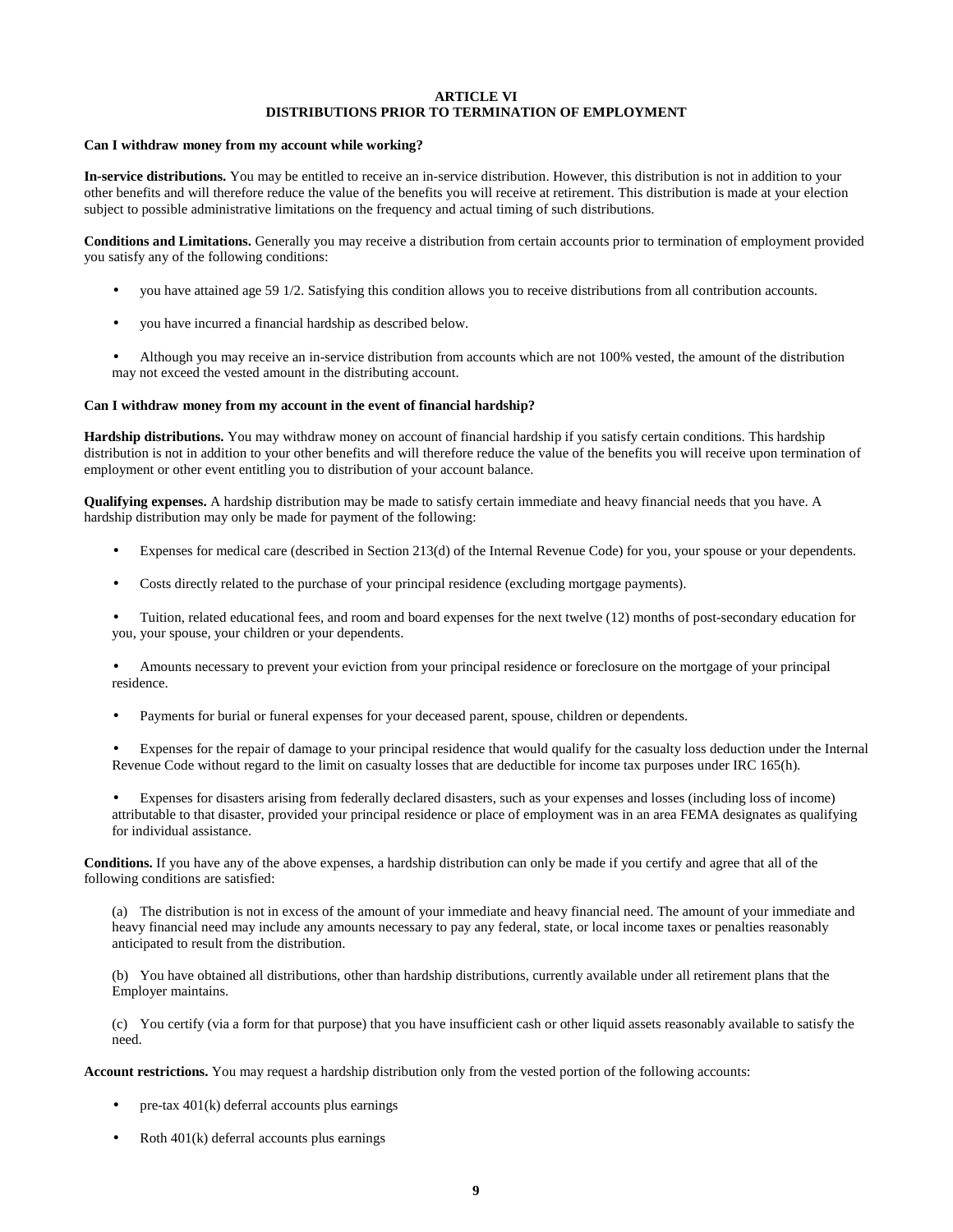# **ARTICLE VI DISTRIBUTIONS PRIOR TO TERMINATION OF EMPLOYMENT**

#### **Can I withdraw money from my account while working?**

**In-service distributions.** You may be entitled to receive an in-service distribution. However, this distribution is not in addition to your other benefits and will therefore reduce the value of the benefits you will receive at retirement. This distribution is made at your election subject to possible administrative limitations on the frequency and actual timing of such distributions.

**Conditions and Limitations.** Generally you may receive a distribution from certain accounts prior to termination of employment provided you satisfy any of the following conditions:

- you have attained age 59 1/2. Satisfying this condition allows you to receive distributions from all contribution accounts.
- you have incurred a financial hardship as described below.
- Although you may receive an in-service distribution from accounts which are not 100% vested, the amount of the distribution may not exceed the vested amount in the distributing account.

#### **Can I withdraw money from my account in the event of financial hardship?**

**Hardship distributions.** You may withdraw money on account of financial hardship if you satisfy certain conditions. This hardship distribution is not in addition to your other benefits and will therefore reduce the value of the benefits you will receive upon termination of employment or other event entitling you to distribution of your account balance.

**Qualifying expenses.** A hardship distribution may be made to satisfy certain immediate and heavy financial needs that you have. A hardship distribution may only be made for payment of the following:

- Expenses for medical care (described in Section 213(d) of the Internal Revenue Code) for you, your spouse or your dependents.
- Costs directly related to the purchase of your principal residence (excluding mortgage payments).

• Tuition, related educational fees, and room and board expenses for the next twelve (12) months of post-secondary education for you, your spouse, your children or your dependents.

- Amounts necessary to prevent your eviction from your principal residence or foreclosure on the mortgage of your principal residence.
- Payments for burial or funeral expenses for your deceased parent, spouse, children or dependents.
- Expenses for the repair of damage to your principal residence that would qualify for the casualty loss deduction under the Internal Revenue Code without regard to the limit on casualty losses that are deductible for income tax purposes under IRC 165(h).
- Expenses for disasters arising from federally declared disasters, such as your expenses and losses (including loss of income) attributable to that disaster, provided your principal residence or place of employment was in an area FEMA designates as qualifying for individual assistance.

**Conditions.** If you have any of the above expenses, a hardship distribution can only be made if you certify and agree that all of the following conditions are satisfied:

(a) The distribution is not in excess of the amount of your immediate and heavy financial need. The amount of your immediate and heavy financial need may include any amounts necessary to pay any federal, state, or local income taxes or penalties reasonably anticipated to result from the distribution.

(b) You have obtained all distributions, other than hardship distributions, currently available under all retirement plans that the Employer maintains.

(c) You certify (via a form for that purpose) that you have insufficient cash or other liquid assets reasonably available to satisfy the need.

**Account restrictions.** You may request a hardship distribution only from the vested portion of the following accounts:

- pre-tax  $401(k)$  deferral accounts plus earnings
- Roth 401(k) deferral accounts plus earnings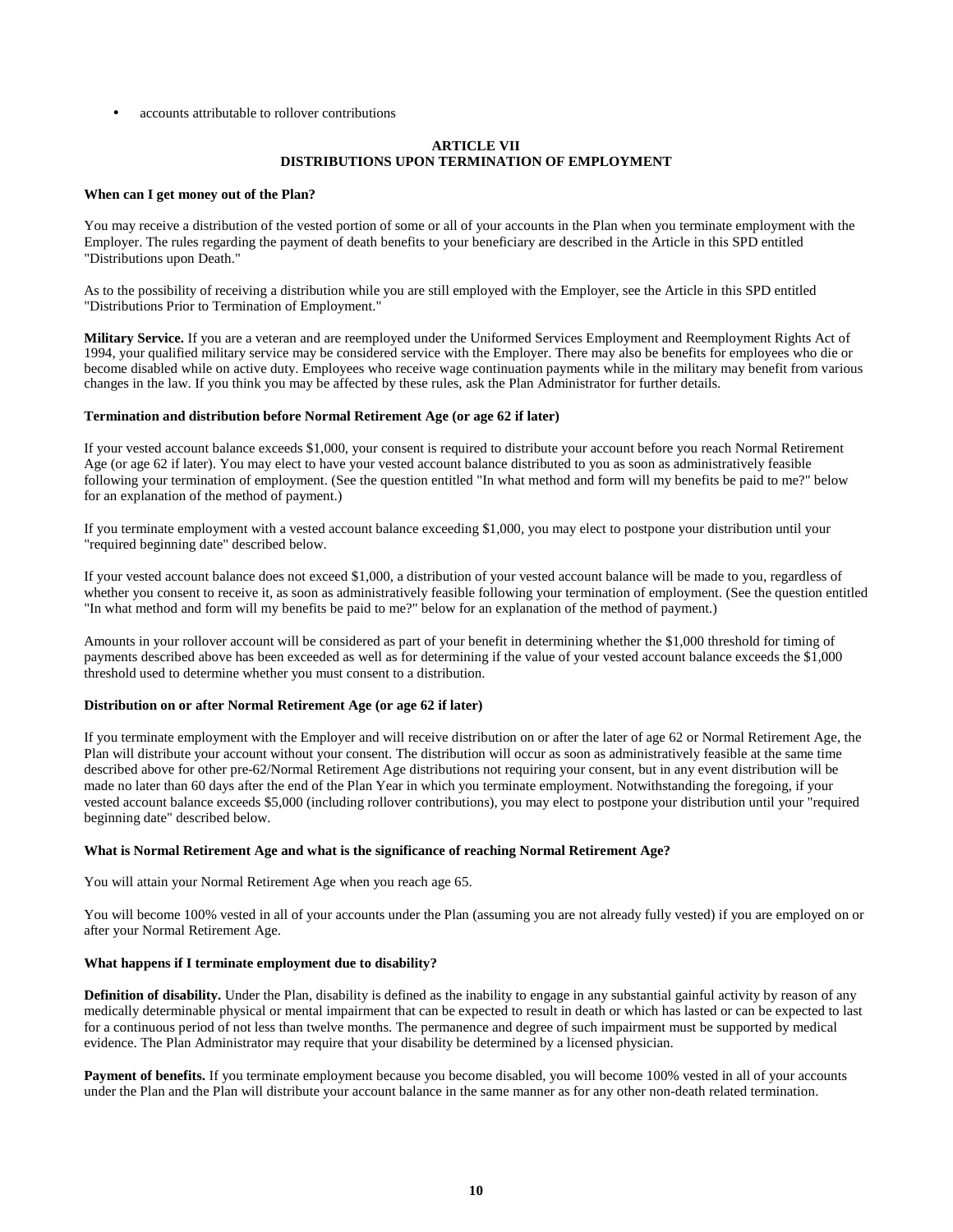accounts attributable to rollover contributions

# **ARTICLE VII DISTRIBUTIONS UPON TERMINATION OF EMPLOYMENT**

#### **When can I get money out of the Plan?**

You may receive a distribution of the vested portion of some or all of your accounts in the Plan when you terminate employment with the Employer. The rules regarding the payment of death benefits to your beneficiary are described in the Article in this SPD entitled "Distributions upon Death."

As to the possibility of receiving a distribution while you are still employed with the Employer, see the Article in this SPD entitled "Distributions Prior to Termination of Employment."

**Military Service.** If you are a veteran and are reemployed under the Uniformed Services Employment and Reemployment Rights Act of 1994, your qualified military service may be considered service with the Employer. There may also be benefits for employees who die or become disabled while on active duty. Employees who receive wage continuation payments while in the military may benefit from various changes in the law. If you think you may be affected by these rules, ask the Plan Administrator for further details.

#### **Termination and distribution before Normal Retirement Age (or age 62 if later)**

If your vested account balance exceeds \$1,000, your consent is required to distribute your account before you reach Normal Retirement Age (or age 62 if later). You may elect to have your vested account balance distributed to you as soon as administratively feasible following your termination of employment. (See the question entitled "In what method and form will my benefits be paid to me?" below for an explanation of the method of payment.)

If you terminate employment with a vested account balance exceeding \$1,000, you may elect to postpone your distribution until your "required beginning date" described below.

If your vested account balance does not exceed \$1,000, a distribution of your vested account balance will be made to you, regardless of whether you consent to receive it, as soon as administratively feasible following your termination of employment. (See the question entitled "In what method and form will my benefits be paid to me?" below for an explanation of the method of payment.)

Amounts in your rollover account will be considered as part of your benefit in determining whether the \$1,000 threshold for timing of payments described above has been exceeded as well as for determining if the value of your vested account balance exceeds the \$1,000 threshold used to determine whether you must consent to a distribution.

## **Distribution on or after Normal Retirement Age (or age 62 if later)**

If you terminate employment with the Employer and will receive distribution on or after the later of age 62 or Normal Retirement Age, the Plan will distribute your account without your consent. The distribution will occur as soon as administratively feasible at the same time described above for other pre-62/Normal Retirement Age distributions not requiring your consent, but in any event distribution will be made no later than 60 days after the end of the Plan Year in which you terminate employment. Notwithstanding the foregoing, if your vested account balance exceeds \$5,000 (including rollover contributions), you may elect to postpone your distribution until your "required beginning date" described below.

#### **What is Normal Retirement Age and what is the significance of reaching Normal Retirement Age?**

You will attain your Normal Retirement Age when you reach age 65.

You will become 100% vested in all of your accounts under the Plan (assuming you are not already fully vested) if you are employed on or after your Normal Retirement Age.

#### **What happens if I terminate employment due to disability?**

**Definition of disability.** Under the Plan, disability is defined as the inability to engage in any substantial gainful activity by reason of any medically determinable physical or mental impairment that can be expected to result in death or which has lasted or can be expected to last for a continuous period of not less than twelve months. The permanence and degree of such impairment must be supported by medical evidence. The Plan Administrator may require that your disability be determined by a licensed physician.

Payment of benefits. If you terminate employment because you become disabled, you will become 100% vested in all of your accounts under the Plan and the Plan will distribute your account balance in the same manner as for any other non-death related termination.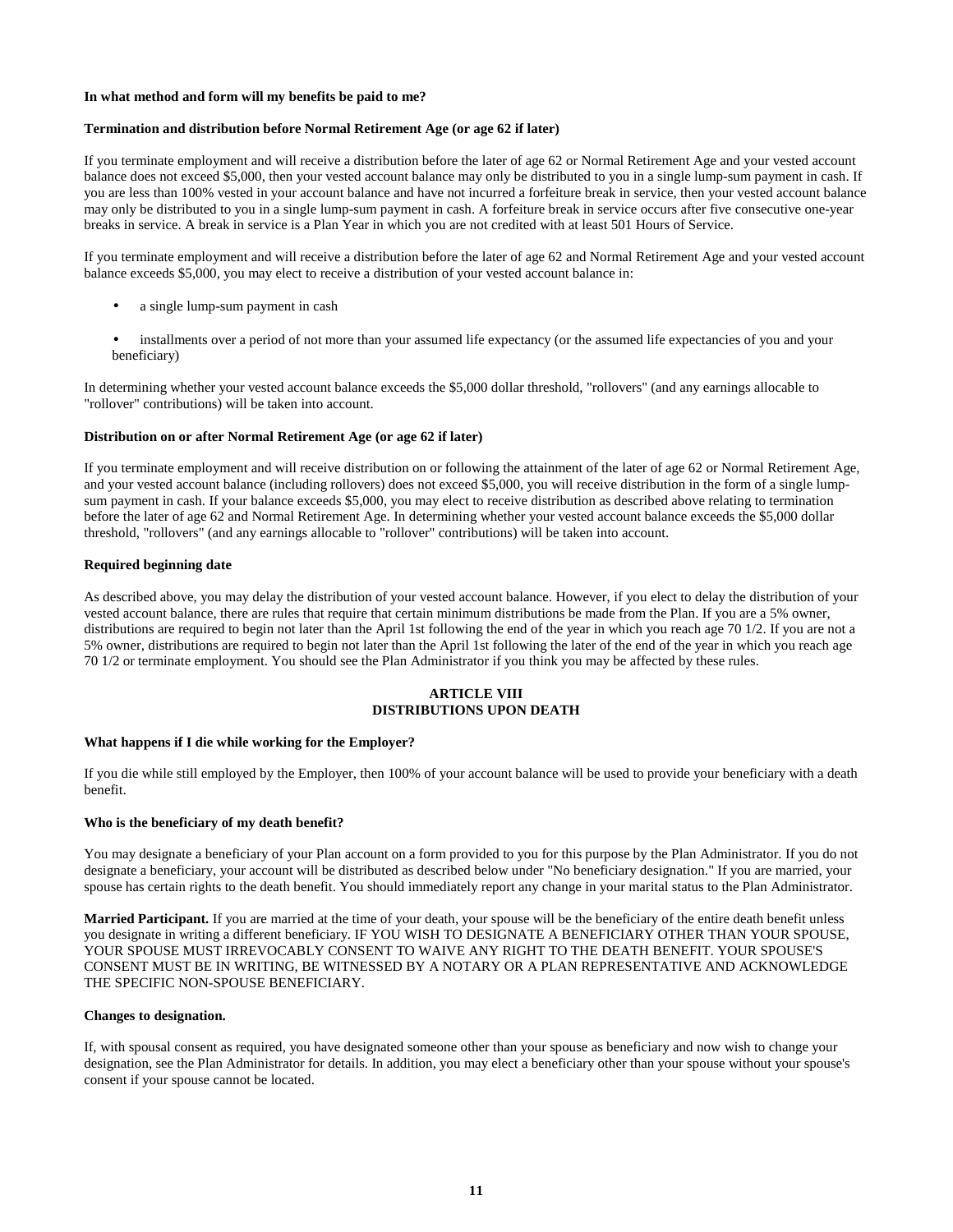### **In what method and form will my benefits be paid to me?**

## **Termination and distribution before Normal Retirement Age (or age 62 if later)**

If you terminate employment and will receive a distribution before the later of age 62 or Normal Retirement Age and your vested account balance does not exceed \$5,000, then your vested account balance may only be distributed to you in a single lump-sum payment in cash. If you are less than 100% vested in your account balance and have not incurred a forfeiture break in service, then your vested account balance may only be distributed to you in a single lump-sum payment in cash. A forfeiture break in service occurs after five consecutive one-year breaks in service. A break in service is a Plan Year in which you are not credited with at least 501 Hours of Service.

If you terminate employment and will receive a distribution before the later of age 62 and Normal Retirement Age and your vested account balance exceeds \$5,000, you may elect to receive a distribution of your vested account balance in:

- a single lump-sum payment in cash
- installments over a period of not more than your assumed life expectancy (or the assumed life expectancies of you and your beneficiary)

In determining whether your vested account balance exceeds the \$5,000 dollar threshold, "rollovers" (and any earnings allocable to "rollover" contributions) will be taken into account.

### **Distribution on or after Normal Retirement Age (or age 62 if later)**

If you terminate employment and will receive distribution on or following the attainment of the later of age 62 or Normal Retirement Age, and your vested account balance (including rollovers) does not exceed \$5,000, you will receive distribution in the form of a single lumpsum payment in cash. If your balance exceeds \$5,000, you may elect to receive distribution as described above relating to termination before the later of age 62 and Normal Retirement Age. In determining whether your vested account balance exceeds the \$5,000 dollar threshold, "rollovers" (and any earnings allocable to "rollover" contributions) will be taken into account.

## **Required beginning date**

As described above, you may delay the distribution of your vested account balance. However, if you elect to delay the distribution of your vested account balance, there are rules that require that certain minimum distributions be made from the Plan. If you are a 5% owner, distributions are required to begin not later than the April 1st following the end of the year in which you reach age 70 1/2. If you are not a 5% owner, distributions are required to begin not later than the April 1st following the later of the end of the year in which you reach age 70 1/2 or terminate employment. You should see the Plan Administrator if you think you may be affected by these rules.

# **ARTICLE VIII DISTRIBUTIONS UPON DEATH**

## **What happens if I die while working for the Employer?**

If you die while still employed by the Employer, then 100% of your account balance will be used to provide your beneficiary with a death benefit.

#### **Who is the beneficiary of my death benefit?**

You may designate a beneficiary of your Plan account on a form provided to you for this purpose by the Plan Administrator. If you do not designate a beneficiary, your account will be distributed as described below under "No beneficiary designation." If you are married, your spouse has certain rights to the death benefit. You should immediately report any change in your marital status to the Plan Administrator.

**Married Participant.** If you are married at the time of your death, your spouse will be the beneficiary of the entire death benefit unless you designate in writing a different beneficiary. IF YOU WISH TO DESIGNATE A BENEFICIARY OTHER THAN YOUR SPOUSE, YOUR SPOUSE MUST IRREVOCABLY CONSENT TO WAIVE ANY RIGHT TO THE DEATH BENEFIT. YOUR SPOUSE'S CONSENT MUST BE IN WRITING, BE WITNESSED BY A NOTARY OR A PLAN REPRESENTATIVE AND ACKNOWLEDGE THE SPECIFIC NON-SPOUSE BENEFICIARY.

#### **Changes to designation.**

If, with spousal consent as required, you have designated someone other than your spouse as beneficiary and now wish to change your designation, see the Plan Administrator for details. In addition, you may elect a beneficiary other than your spouse without your spouse's consent if your spouse cannot be located.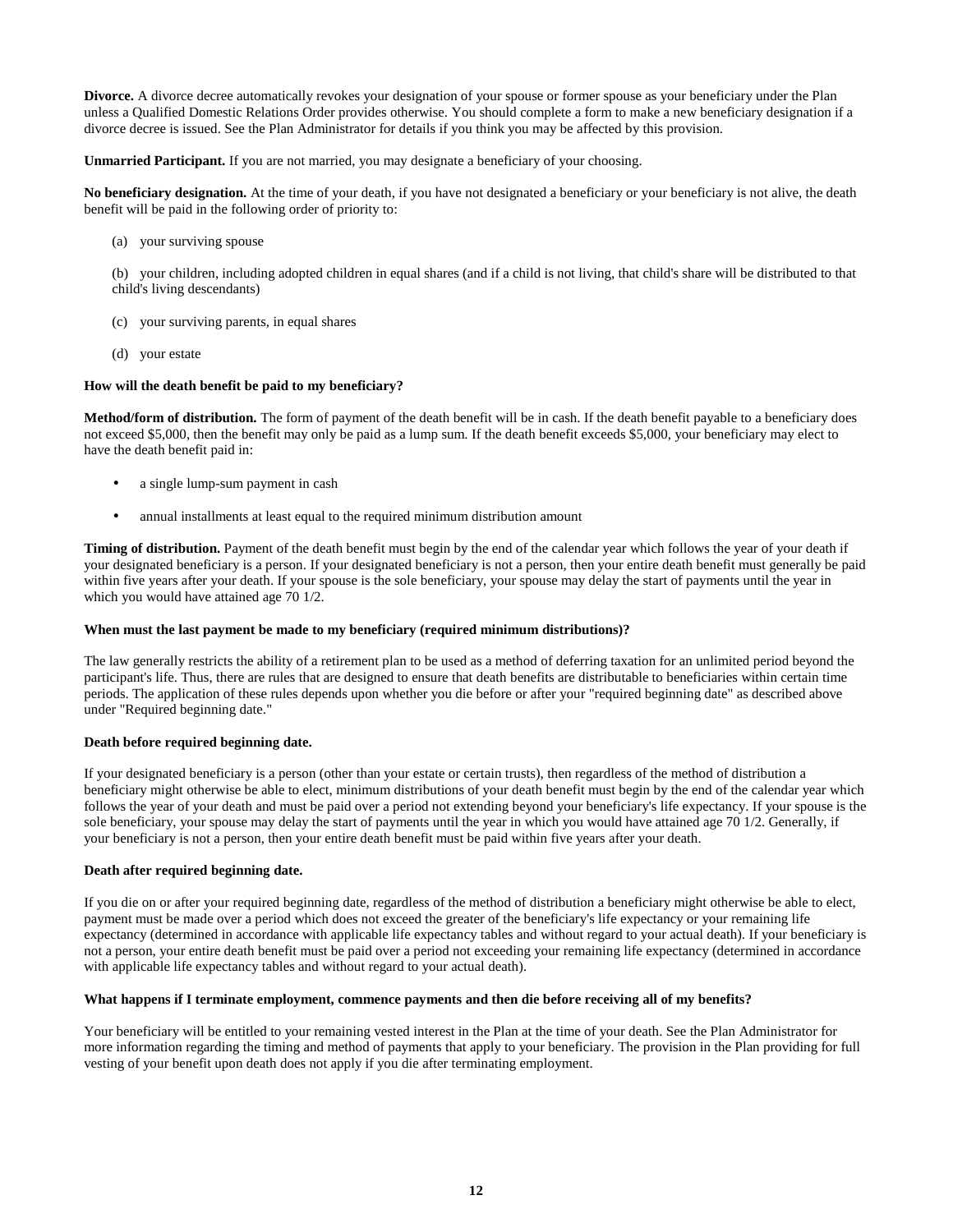**Divorce.** A divorce decree automatically revokes your designation of your spouse or former spouse as your beneficiary under the Plan unless a Qualified Domestic Relations Order provides otherwise. You should complete a form to make a new beneficiary designation if a divorce decree is issued. See the Plan Administrator for details if you think you may be affected by this provision.

**Unmarried Participant.** If you are not married, you may designate a beneficiary of your choosing.

**No beneficiary designation.** At the time of your death, if you have not designated a beneficiary or your beneficiary is not alive, the death benefit will be paid in the following order of priority to:

(a) your surviving spouse

(b) your children, including adopted children in equal shares (and if a child is not living, that child's share will be distributed to that child's living descendants)

- (c) your surviving parents, in equal shares
- (d) your estate

# **How will the death benefit be paid to my beneficiary?**

**Method/form of distribution.** The form of payment of the death benefit will be in cash. If the death benefit payable to a beneficiary does not exceed \$5,000, then the benefit may only be paid as a lump sum. If the death benefit exceeds \$5,000, your beneficiary may elect to have the death benefit paid in:

- a single lump-sum payment in cash
- annual installments at least equal to the required minimum distribution amount

**Timing of distribution.** Payment of the death benefit must begin by the end of the calendar year which follows the year of your death if your designated beneficiary is a person. If your designated beneficiary is not a person, then your entire death benefit must generally be paid within five years after your death. If your spouse is the sole beneficiary, your spouse may delay the start of payments until the year in which you would have attained age 70 1/2.

## **When must the last payment be made to my beneficiary (required minimum distributions)?**

The law generally restricts the ability of a retirement plan to be used as a method of deferring taxation for an unlimited period beyond the participant's life. Thus, there are rules that are designed to ensure that death benefits are distributable to beneficiaries within certain time periods. The application of these rules depends upon whether you die before or after your "required beginning date" as described above under "Required beginning date."

## **Death before required beginning date.**

If your designated beneficiary is a person (other than your estate or certain trusts), then regardless of the method of distribution a beneficiary might otherwise be able to elect, minimum distributions of your death benefit must begin by the end of the calendar year which follows the year of your death and must be paid over a period not extending beyond your beneficiary's life expectancy. If your spouse is the sole beneficiary, your spouse may delay the start of payments until the year in which you would have attained age 70 1/2. Generally, if your beneficiary is not a person, then your entire death benefit must be paid within five years after your death.

# **Death after required beginning date.**

If you die on or after your required beginning date, regardless of the method of distribution a beneficiary might otherwise be able to elect, payment must be made over a period which does not exceed the greater of the beneficiary's life expectancy or your remaining life expectancy (determined in accordance with applicable life expectancy tables and without regard to your actual death). If your beneficiary is not a person, your entire death benefit must be paid over a period not exceeding your remaining life expectancy (determined in accordance with applicable life expectancy tables and without regard to your actual death).

# **What happens if I terminate employment, commence payments and then die before receiving all of my benefits?**

Your beneficiary will be entitled to your remaining vested interest in the Plan at the time of your death. See the Plan Administrator for more information regarding the timing and method of payments that apply to your beneficiary. The provision in the Plan providing for full vesting of your benefit upon death does not apply if you die after terminating employment.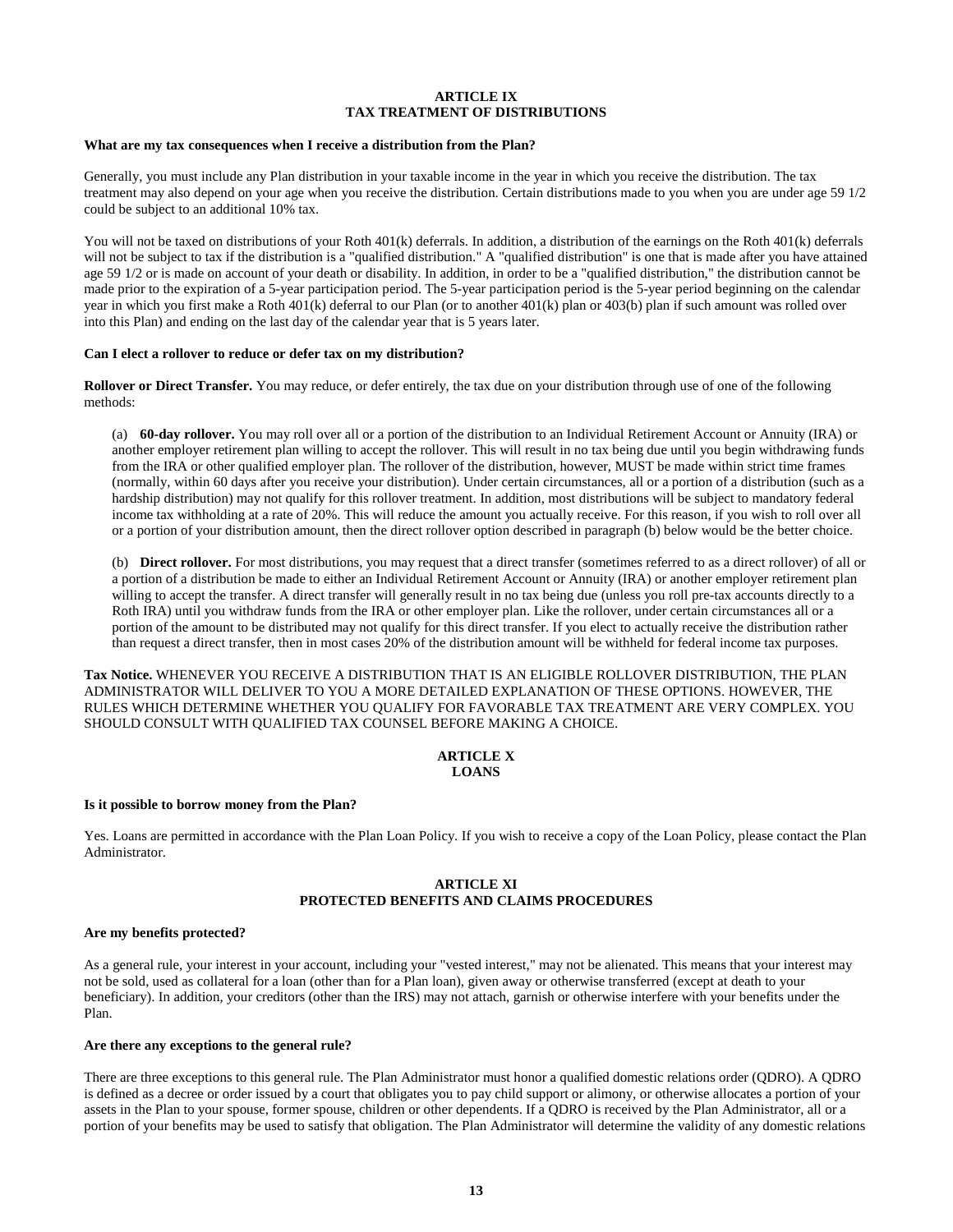## **ARTICLE IX TAX TREATMENT OF DISTRIBUTIONS**

#### **What are my tax consequences when I receive a distribution from the Plan?**

Generally, you must include any Plan distribution in your taxable income in the year in which you receive the distribution. The tax treatment may also depend on your age when you receive the distribution. Certain distributions made to you when you are under age 59 1/2 could be subject to an additional 10% tax.

You will not be taxed on distributions of your Roth 401(k) deferrals. In addition, a distribution of the earnings on the Roth 401(k) deferrals will not be subject to tax if the distribution is a "qualified distribution." A "qualified distribution" is one that is made after you have attained age 59 1/2 or is made on account of your death or disability. In addition, in order to be a "qualified distribution," the distribution cannot be made prior to the expiration of a 5-year participation period. The 5-year participation period is the 5-year period beginning on the calendar year in which you first make a Roth 401(k) deferral to our Plan (or to another 401(k) plan or 403(b) plan if such amount was rolled over into this Plan) and ending on the last day of the calendar year that is 5 years later.

#### **Can I elect a rollover to reduce or defer tax on my distribution?**

**Rollover or Direct Transfer.** You may reduce, or defer entirely, the tax due on your distribution through use of one of the following methods:

(a) **60-day rollover.** You may roll over all or a portion of the distribution to an Individual Retirement Account or Annuity (IRA) or another employer retirement plan willing to accept the rollover. This will result in no tax being due until you begin withdrawing funds from the IRA or other qualified employer plan. The rollover of the distribution, however, MUST be made within strict time frames (normally, within 60 days after you receive your distribution). Under certain circumstances, all or a portion of a distribution (such as a hardship distribution) may not qualify for this rollover treatment. In addition, most distributions will be subject to mandatory federal income tax withholding at a rate of 20%. This will reduce the amount you actually receive. For this reason, if you wish to roll over all or a portion of your distribution amount, then the direct rollover option described in paragraph (b) below would be the better choice.

(b) **Direct rollover.** For most distributions, you may request that a direct transfer (sometimes referred to as a direct rollover) of all or a portion of a distribution be made to either an Individual Retirement Account or Annuity (IRA) or another employer retirement plan willing to accept the transfer. A direct transfer will generally result in no tax being due (unless you roll pre-tax accounts directly to a Roth IRA) until you withdraw funds from the IRA or other employer plan. Like the rollover, under certain circumstances all or a portion of the amount to be distributed may not qualify for this direct transfer. If you elect to actually receive the distribution rather than request a direct transfer, then in most cases 20% of the distribution amount will be withheld for federal income tax purposes.

**Tax Notice.** WHENEVER YOU RECEIVE A DISTRIBUTION THAT IS AN ELIGIBLE ROLLOVER DISTRIBUTION, THE PLAN ADMINISTRATOR WILL DELIVER TO YOU A MORE DETAILED EXPLANATION OF THESE OPTIONS. HOWEVER, THE RULES WHICH DETERMINE WHETHER YOU QUALIFY FOR FAVORABLE TAX TREATMENT ARE VERY COMPLEX. YOU SHOULD CONSULT WITH QUALIFIED TAX COUNSEL BEFORE MAKING A CHOICE.

# **ARTICLE X LOANS**

#### **Is it possible to borrow money from the Plan?**

Yes. Loans are permitted in accordance with the Plan Loan Policy. If you wish to receive a copy of the Loan Policy, please contact the Plan Administrator.

# **ARTICLE XI PROTECTED BENEFITS AND CLAIMS PROCEDURES**

#### **Are my benefits protected?**

As a general rule, your interest in your account, including your "vested interest," may not be alienated. This means that your interest may not be sold, used as collateral for a loan (other than for a Plan loan), given away or otherwise transferred (except at death to your beneficiary). In addition, your creditors (other than the IRS) may not attach, garnish or otherwise interfere with your benefits under the Plan.

## **Are there any exceptions to the general rule?**

There are three exceptions to this general rule. The Plan Administrator must honor a qualified domestic relations order (QDRO). A QDRO is defined as a decree or order issued by a court that obligates you to pay child support or alimony, or otherwise allocates a portion of your assets in the Plan to your spouse, former spouse, children or other dependents. If a QDRO is received by the Plan Administrator, all or a portion of your benefits may be used to satisfy that obligation. The Plan Administrator will determine the validity of any domestic relations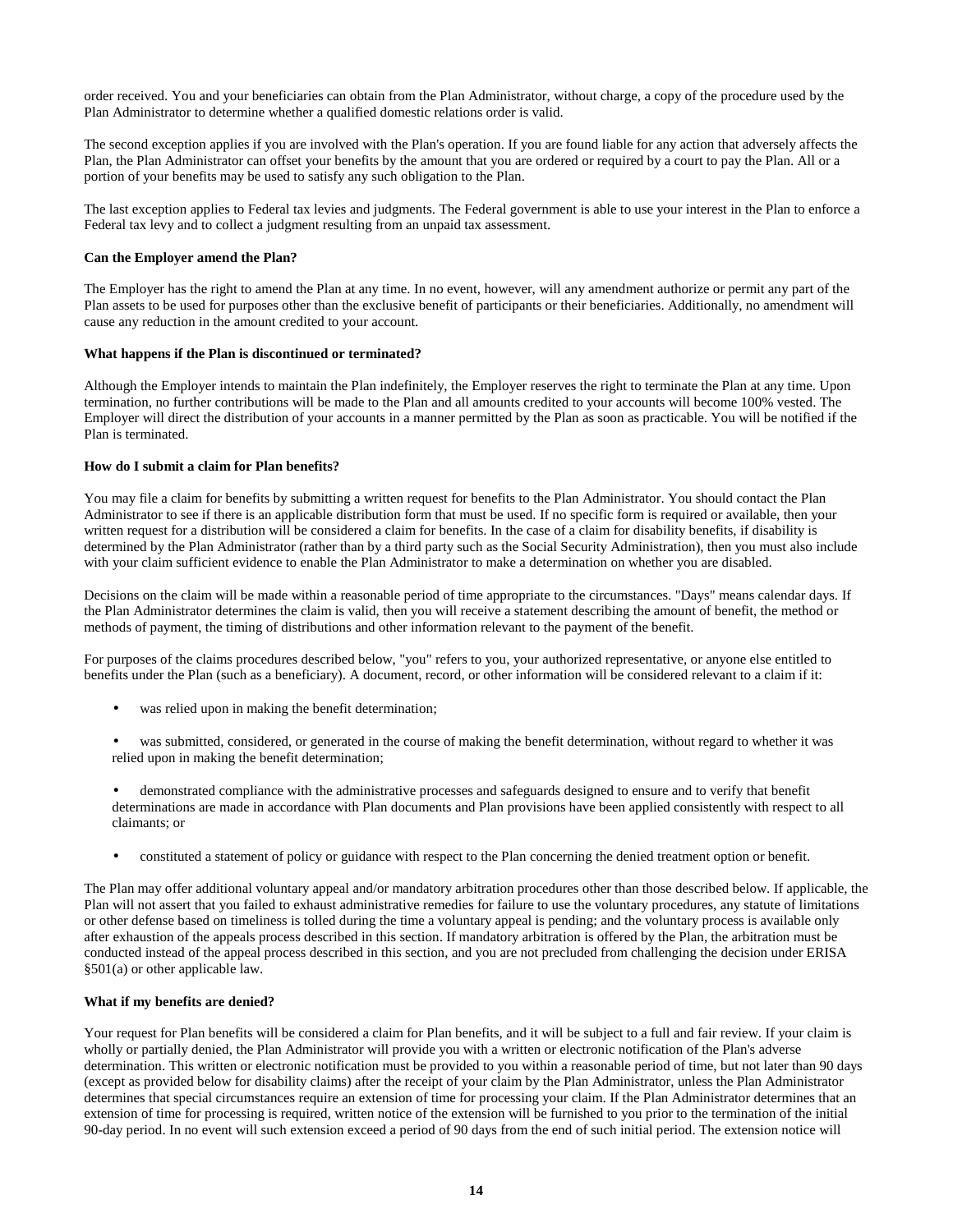order received. You and your beneficiaries can obtain from the Plan Administrator, without charge, a copy of the procedure used by the Plan Administrator to determine whether a qualified domestic relations order is valid.

The second exception applies if you are involved with the Plan's operation. If you are found liable for any action that adversely affects the Plan, the Plan Administrator can offset your benefits by the amount that you are ordered or required by a court to pay the Plan. All or a portion of your benefits may be used to satisfy any such obligation to the Plan.

The last exception applies to Federal tax levies and judgments. The Federal government is able to use your interest in the Plan to enforce a Federal tax levy and to collect a judgment resulting from an unpaid tax assessment.

# **Can the Employer amend the Plan?**

The Employer has the right to amend the Plan at any time. In no event, however, will any amendment authorize or permit any part of the Plan assets to be used for purposes other than the exclusive benefit of participants or their beneficiaries. Additionally, no amendment will cause any reduction in the amount credited to your account.

## **What happens if the Plan is discontinued or terminated?**

Although the Employer intends to maintain the Plan indefinitely, the Employer reserves the right to terminate the Plan at any time. Upon termination, no further contributions will be made to the Plan and all amounts credited to your accounts will become 100% vested. The Employer will direct the distribution of your accounts in a manner permitted by the Plan as soon as practicable. You will be notified if the Plan is terminated.

## **How do I submit a claim for Plan benefits?**

You may file a claim for benefits by submitting a written request for benefits to the Plan Administrator. You should contact the Plan Administrator to see if there is an applicable distribution form that must be used. If no specific form is required or available, then your written request for a distribution will be considered a claim for benefits. In the case of a claim for disability benefits, if disability is determined by the Plan Administrator (rather than by a third party such as the Social Security Administration), then you must also include with your claim sufficient evidence to enable the Plan Administrator to make a determination on whether you are disabled.

Decisions on the claim will be made within a reasonable period of time appropriate to the circumstances. "Days" means calendar days. If the Plan Administrator determines the claim is valid, then you will receive a statement describing the amount of benefit, the method or methods of payment, the timing of distributions and other information relevant to the payment of the benefit.

For purposes of the claims procedures described below, "you" refers to you, your authorized representative, or anyone else entitled to benefits under the Plan (such as a beneficiary). A document, record, or other information will be considered relevant to a claim if it:

- was relied upon in making the benefit determination;
- was submitted, considered, or generated in the course of making the benefit determination, without regard to whether it was relied upon in making the benefit determination;
- demonstrated compliance with the administrative processes and safeguards designed to ensure and to verify that benefit determinations are made in accordance with Plan documents and Plan provisions have been applied consistently with respect to all claimants; or
- constituted a statement of policy or guidance with respect to the Plan concerning the denied treatment option or benefit.

The Plan may offer additional voluntary appeal and/or mandatory arbitration procedures other than those described below. If applicable, the Plan will not assert that you failed to exhaust administrative remedies for failure to use the voluntary procedures, any statute of limitations or other defense based on timeliness is tolled during the time a voluntary appeal is pending; and the voluntary process is available only after exhaustion of the appeals process described in this section. If mandatory arbitration is offered by the Plan, the arbitration must be conducted instead of the appeal process described in this section, and you are not precluded from challenging the decision under ERISA §501(a) or other applicable law.

# **What if my benefits are denied?**

Your request for Plan benefits will be considered a claim for Plan benefits, and it will be subject to a full and fair review. If your claim is wholly or partially denied, the Plan Administrator will provide you with a written or electronic notification of the Plan's adverse determination. This written or electronic notification must be provided to you within a reasonable period of time, but not later than 90 days (except as provided below for disability claims) after the receipt of your claim by the Plan Administrator, unless the Plan Administrator determines that special circumstances require an extension of time for processing your claim. If the Plan Administrator determines that an extension of time for processing is required, written notice of the extension will be furnished to you prior to the termination of the initial 90-day period. In no event will such extension exceed a period of 90 days from the end of such initial period. The extension notice will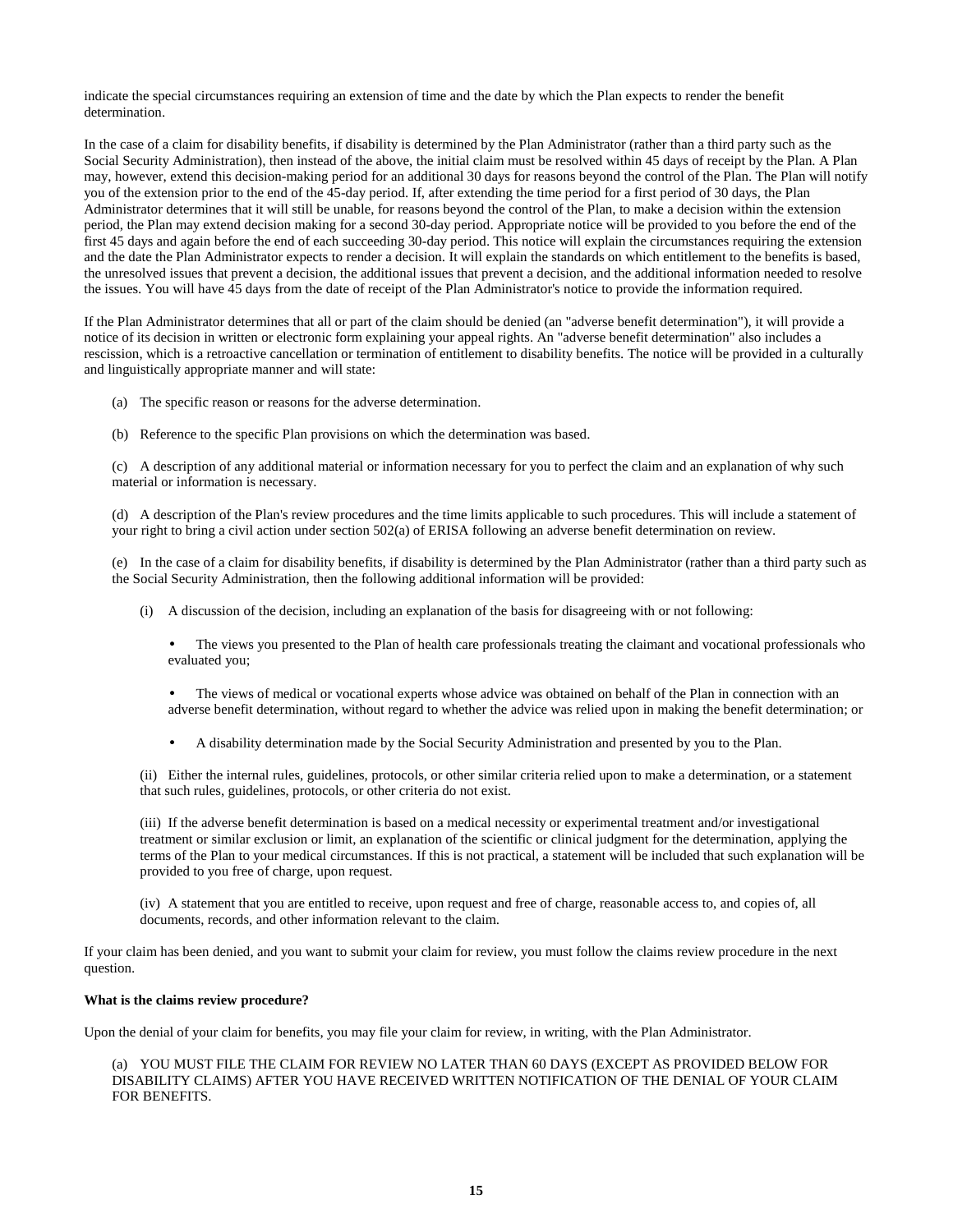indicate the special circumstances requiring an extension of time and the date by which the Plan expects to render the benefit determination.

In the case of a claim for disability benefits, if disability is determined by the Plan Administrator (rather than a third party such as the Social Security Administration), then instead of the above, the initial claim must be resolved within 45 days of receipt by the Plan. A Plan may, however, extend this decision-making period for an additional 30 days for reasons beyond the control of the Plan. The Plan will notify you of the extension prior to the end of the 45-day period. If, after extending the time period for a first period of 30 days, the Plan Administrator determines that it will still be unable, for reasons beyond the control of the Plan, to make a decision within the extension period, the Plan may extend decision making for a second 30-day period. Appropriate notice will be provided to you before the end of the first 45 days and again before the end of each succeeding 30-day period. This notice will explain the circumstances requiring the extension and the date the Plan Administrator expects to render a decision. It will explain the standards on which entitlement to the benefits is based, the unresolved issues that prevent a decision, the additional issues that prevent a decision, and the additional information needed to resolve the issues. You will have 45 days from the date of receipt of the Plan Administrator's notice to provide the information required.

If the Plan Administrator determines that all or part of the claim should be denied (an "adverse benefit determination"), it will provide a notice of its decision in written or electronic form explaining your appeal rights. An "adverse benefit determination" also includes a rescission, which is a retroactive cancellation or termination of entitlement to disability benefits. The notice will be provided in a culturally and linguistically appropriate manner and will state:

- (a) The specific reason or reasons for the adverse determination.
- (b) Reference to the specific Plan provisions on which the determination was based.

(c) A description of any additional material or information necessary for you to perfect the claim and an explanation of why such material or information is necessary.

(d) A description of the Plan's review procedures and the time limits applicable to such procedures. This will include a statement of your right to bring a civil action under section 502(a) of ERISA following an adverse benefit determination on review.

(e) In the case of a claim for disability benefits, if disability is determined by the Plan Administrator (rather than a third party such as the Social Security Administration, then the following additional information will be provided:

- (i) A discussion of the decision, including an explanation of the basis for disagreeing with or not following:
	- The views you presented to the Plan of health care professionals treating the claimant and vocational professionals who evaluated you;
	- The views of medical or vocational experts whose advice was obtained on behalf of the Plan in connection with an adverse benefit determination, without regard to whether the advice was relied upon in making the benefit determination; or
	- A disability determination made by the Social Security Administration and presented by you to the Plan.

(ii) Either the internal rules, guidelines, protocols, or other similar criteria relied upon to make a determination, or a statement that such rules, guidelines, protocols, or other criteria do not exist.

(iii) If the adverse benefit determination is based on a medical necessity or experimental treatment and/or investigational treatment or similar exclusion or limit, an explanation of the scientific or clinical judgment for the determination, applying the terms of the Plan to your medical circumstances. If this is not practical, a statement will be included that such explanation will be provided to you free of charge, upon request.

(iv) A statement that you are entitled to receive, upon request and free of charge, reasonable access to, and copies of, all documents, records, and other information relevant to the claim.

If your claim has been denied, and you want to submit your claim for review, you must follow the claims review procedure in the next question.

## **What is the claims review procedure?**

Upon the denial of your claim for benefits, you may file your claim for review, in writing, with the Plan Administrator.

(a) YOU MUST FILE THE CLAIM FOR REVIEW NO LATER THAN 60 DAYS (EXCEPT AS PROVIDED BELOW FOR DISABILITY CLAIMS) AFTER YOU HAVE RECEIVED WRITTEN NOTIFICATION OF THE DENIAL OF YOUR CLAIM FOR BENEFITS.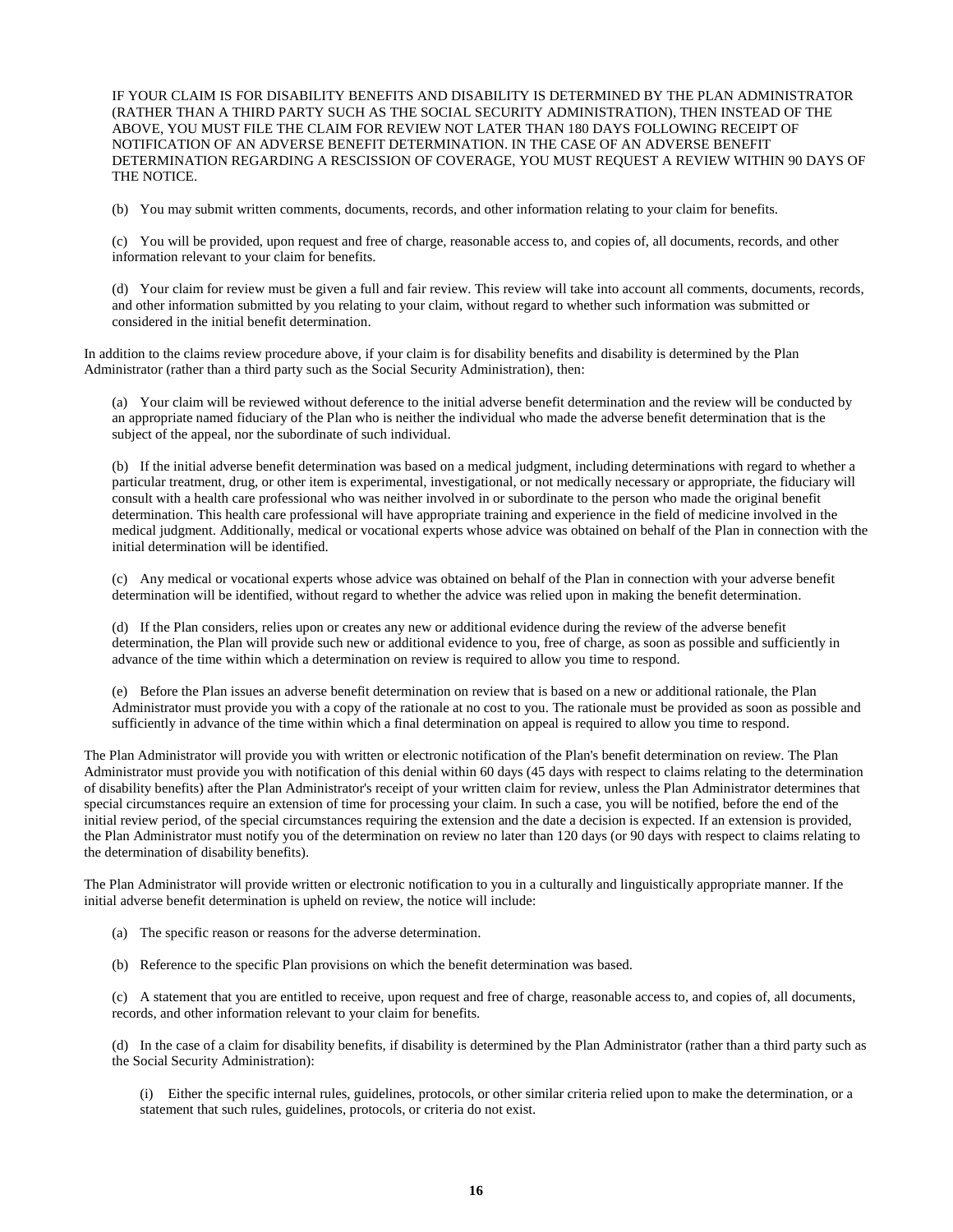IF YOUR CLAIM IS FOR DISABILITY BENEFITS AND DISABILITY IS DETERMINED BY THE PLAN ADMINISTRATOR (RATHER THAN A THIRD PARTY SUCH AS THE SOCIAL SECURITY ADMINISTRATION), THEN INSTEAD OF THE ABOVE, YOU MUST FILE THE CLAIM FOR REVIEW NOT LATER THAN 180 DAYS FOLLOWING RECEIPT OF NOTIFICATION OF AN ADVERSE BENEFIT DETERMINATION. IN THE CASE OF AN ADVERSE BENEFIT DETERMINATION REGARDING A RESCISSION OF COVERAGE, YOU MUST REQUEST A REVIEW WITHIN 90 DAYS OF THE NOTICE.

(b) You may submit written comments, documents, records, and other information relating to your claim for benefits.

(c) You will be provided, upon request and free of charge, reasonable access to, and copies of, all documents, records, and other information relevant to your claim for benefits.

(d) Your claim for review must be given a full and fair review. This review will take into account all comments, documents, records, and other information submitted by you relating to your claim, without regard to whether such information was submitted or considered in the initial benefit determination.

In addition to the claims review procedure above, if your claim is for disability benefits and disability is determined by the Plan Administrator (rather than a third party such as the Social Security Administration), then:

(a) Your claim will be reviewed without deference to the initial adverse benefit determination and the review will be conducted by an appropriate named fiduciary of the Plan who is neither the individual who made the adverse benefit determination that is the subject of the appeal, nor the subordinate of such individual.

(b) If the initial adverse benefit determination was based on a medical judgment, including determinations with regard to whether a particular treatment, drug, or other item is experimental, investigational, or not medically necessary or appropriate, the fiduciary will consult with a health care professional who was neither involved in or subordinate to the person who made the original benefit determination. This health care professional will have appropriate training and experience in the field of medicine involved in the medical judgment. Additionally, medical or vocational experts whose advice was obtained on behalf of the Plan in connection with the initial determination will be identified.

(c) Any medical or vocational experts whose advice was obtained on behalf of the Plan in connection with your adverse benefit determination will be identified, without regard to whether the advice was relied upon in making the benefit determination.

(d) If the Plan considers, relies upon or creates any new or additional evidence during the review of the adverse benefit determination, the Plan will provide such new or additional evidence to you, free of charge, as soon as possible and sufficiently in advance of the time within which a determination on review is required to allow you time to respond.

(e) Before the Plan issues an adverse benefit determination on review that is based on a new or additional rationale, the Plan Administrator must provide you with a copy of the rationale at no cost to you. The rationale must be provided as soon as possible and sufficiently in advance of the time within which a final determination on appeal is required to allow you time to respond.

The Plan Administrator will provide you with written or electronic notification of the Plan's benefit determination on review. The Plan Administrator must provide you with notification of this denial within 60 days (45 days with respect to claims relating to the determination of disability benefits) after the Plan Administrator's receipt of your written claim for review, unless the Plan Administrator determines that special circumstances require an extension of time for processing your claim. In such a case, you will be notified, before the end of the initial review period, of the special circumstances requiring the extension and the date a decision is expected. If an extension is provided, the Plan Administrator must notify you of the determination on review no later than 120 days (or 90 days with respect to claims relating to the determination of disability benefits).

The Plan Administrator will provide written or electronic notification to you in a culturally and linguistically appropriate manner. If the initial adverse benefit determination is upheld on review, the notice will include:

- (a) The specific reason or reasons for the adverse determination.
- (b) Reference to the specific Plan provisions on which the benefit determination was based.

(c) A statement that you are entitled to receive, upon request and free of charge, reasonable access to, and copies of, all documents, records, and other information relevant to your claim for benefits.

(d) In the case of a claim for disability benefits, if disability is determined by the Plan Administrator (rather than a third party such as the Social Security Administration):

(i) Either the specific internal rules, guidelines, protocols, or other similar criteria relied upon to make the determination, or a statement that such rules, guidelines, protocols, or criteria do not exist.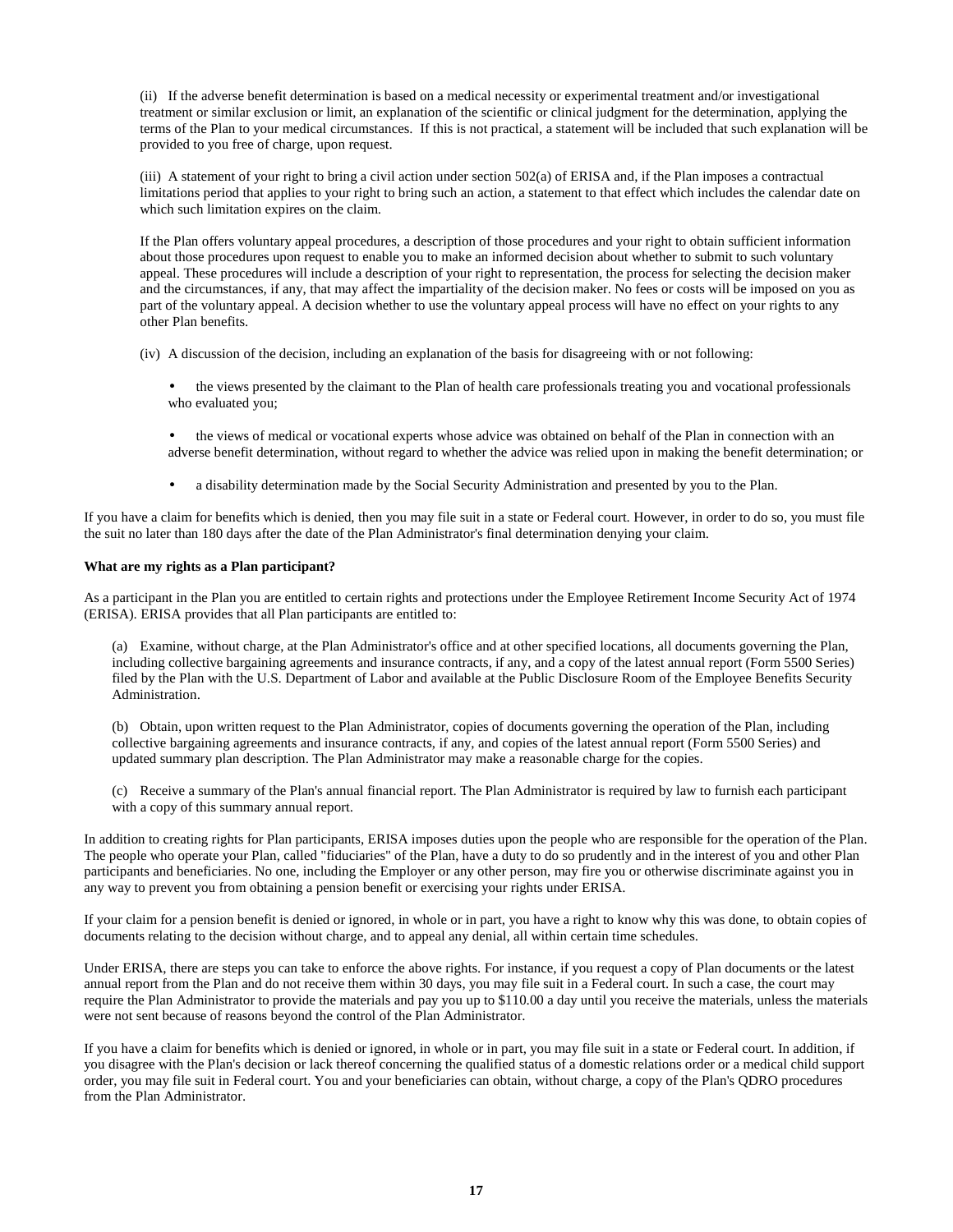(ii) If the adverse benefit determination is based on a medical necessity or experimental treatment and/or investigational treatment or similar exclusion or limit, an explanation of the scientific or clinical judgment for the determination, applying the terms of the Plan to your medical circumstances. If this is not practical, a statement will be included that such explanation will be provided to you free of charge, upon request.

(iii) A statement of your right to bring a civil action under section 502(a) of ERISA and, if the Plan imposes a contractual limitations period that applies to your right to bring such an action, a statement to that effect which includes the calendar date on which such limitation expires on the claim.

If the Plan offers voluntary appeal procedures, a description of those procedures and your right to obtain sufficient information about those procedures upon request to enable you to make an informed decision about whether to submit to such voluntary appeal. These procedures will include a description of your right to representation, the process for selecting the decision maker and the circumstances, if any, that may affect the impartiality of the decision maker. No fees or costs will be imposed on you as part of the voluntary appeal. A decision whether to use the voluntary appeal process will have no effect on your rights to any other Plan benefits.

(iv) A discussion of the decision, including an explanation of the basis for disagreeing with or not following:

- the views presented by the claimant to the Plan of health care professionals treating you and vocational professionals who evaluated you;
- the views of medical or vocational experts whose advice was obtained on behalf of the Plan in connection with an adverse benefit determination, without regard to whether the advice was relied upon in making the benefit determination; or
- a disability determination made by the Social Security Administration and presented by you to the Plan.

If you have a claim for benefits which is denied, then you may file suit in a state or Federal court. However, in order to do so, you must file the suit no later than 180 days after the date of the Plan Administrator's final determination denying your claim.

#### **What are my rights as a Plan participant?**

As a participant in the Plan you are entitled to certain rights and protections under the Employee Retirement Income Security Act of 1974 (ERISA). ERISA provides that all Plan participants are entitled to:

(a) Examine, without charge, at the Plan Administrator's office and at other specified locations, all documents governing the Plan, including collective bargaining agreements and insurance contracts, if any, and a copy of the latest annual report (Form 5500 Series) filed by the Plan with the U.S. Department of Labor and available at the Public Disclosure Room of the Employee Benefits Security Administration.

(b) Obtain, upon written request to the Plan Administrator, copies of documents governing the operation of the Plan, including collective bargaining agreements and insurance contracts, if any, and copies of the latest annual report (Form 5500 Series) and updated summary plan description. The Plan Administrator may make a reasonable charge for the copies.

(c) Receive a summary of the Plan's annual financial report. The Plan Administrator is required by law to furnish each participant with a copy of this summary annual report.

In addition to creating rights for Plan participants, ERISA imposes duties upon the people who are responsible for the operation of the Plan. The people who operate your Plan, called "fiduciaries" of the Plan, have a duty to do so prudently and in the interest of you and other Plan participants and beneficiaries. No one, including the Employer or any other person, may fire you or otherwise discriminate against you in any way to prevent you from obtaining a pension benefit or exercising your rights under ERISA.

If your claim for a pension benefit is denied or ignored, in whole or in part, you have a right to know why this was done, to obtain copies of documents relating to the decision without charge, and to appeal any denial, all within certain time schedules.

Under ERISA, there are steps you can take to enforce the above rights. For instance, if you request a copy of Plan documents or the latest annual report from the Plan and do not receive them within 30 days, you may file suit in a Federal court. In such a case, the court may require the Plan Administrator to provide the materials and pay you up to \$110.00 a day until you receive the materials, unless the materials were not sent because of reasons beyond the control of the Plan Administrator.

If you have a claim for benefits which is denied or ignored, in whole or in part, you may file suit in a state or Federal court. In addition, if you disagree with the Plan's decision or lack thereof concerning the qualified status of a domestic relations order or a medical child support order, you may file suit in Federal court. You and your beneficiaries can obtain, without charge, a copy of the Plan's QDRO procedures from the Plan Administrator.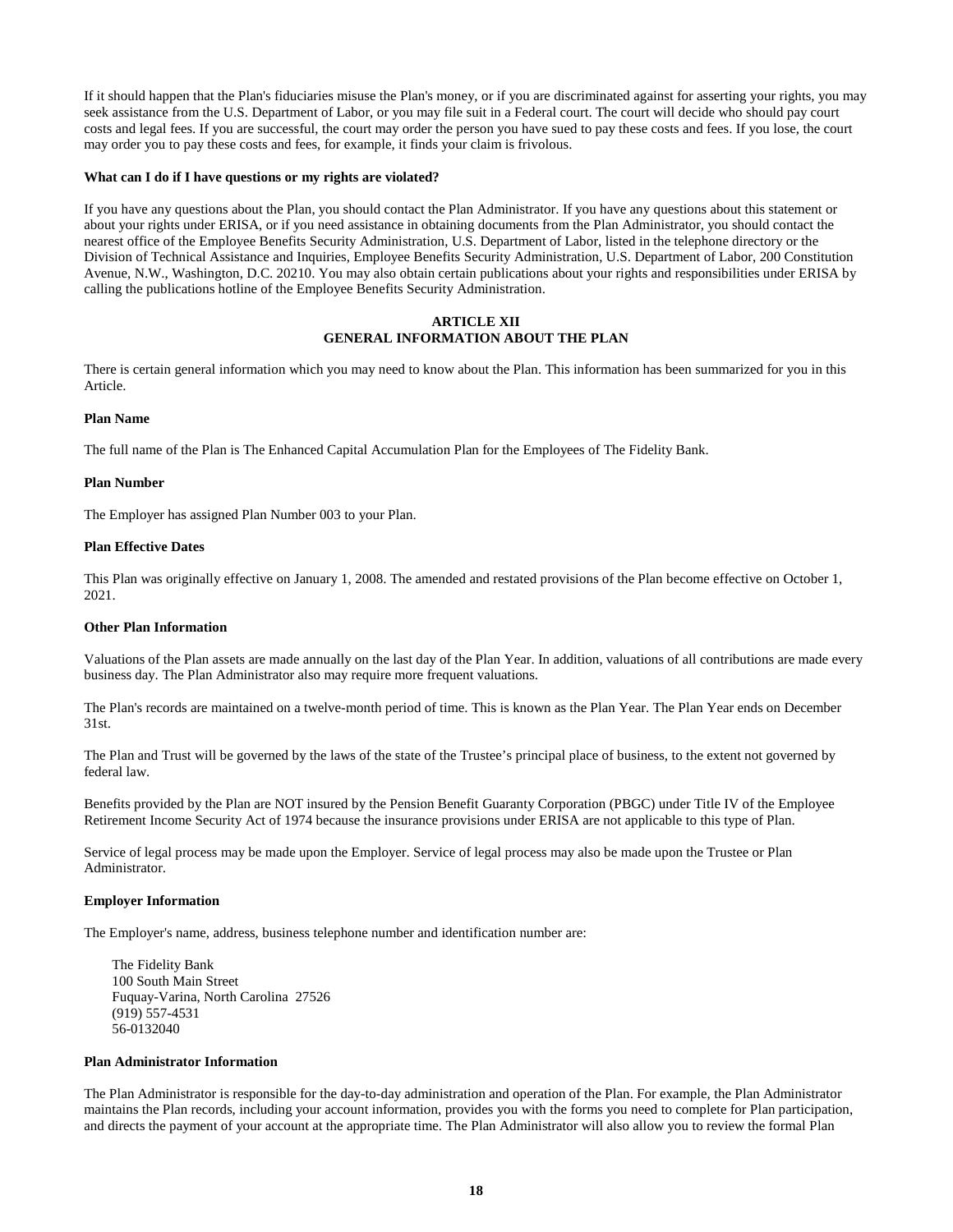If it should happen that the Plan's fiduciaries misuse the Plan's money, or if you are discriminated against for asserting your rights, you may seek assistance from the U.S. Department of Labor, or you may file suit in a Federal court. The court will decide who should pay court costs and legal fees. If you are successful, the court may order the person you have sued to pay these costs and fees. If you lose, the court may order you to pay these costs and fees, for example, it finds your claim is frivolous.

#### **What can I do if I have questions or my rights are violated?**

If you have any questions about the Plan, you should contact the Plan Administrator. If you have any questions about this statement or about your rights under ERISA, or if you need assistance in obtaining documents from the Plan Administrator, you should contact the nearest office of the Employee Benefits Security Administration, U.S. Department of Labor, listed in the telephone directory or the Division of Technical Assistance and Inquiries, Employee Benefits Security Administration, U.S. Department of Labor, 200 Constitution Avenue, N.W., Washington, D.C. 20210. You may also obtain certain publications about your rights and responsibilities under ERISA by calling the publications hotline of the Employee Benefits Security Administration.

# **ARTICLE XII GENERAL INFORMATION ABOUT THE PLAN**

There is certain general information which you may need to know about the Plan. This information has been summarized for you in this Article.

### **Plan Name**

The full name of the Plan is The Enhanced Capital Accumulation Plan for the Employees of The Fidelity Bank.

#### **Plan Number**

The Employer has assigned Plan Number 003 to your Plan.

## **Plan Effective Dates**

This Plan was originally effective on January 1, 2008. The amended and restated provisions of the Plan become effective on October 1, 2021.

#### **Other Plan Information**

Valuations of the Plan assets are made annually on the last day of the Plan Year. In addition, valuations of all contributions are made every business day. The Plan Administrator also may require more frequent valuations.

The Plan's records are maintained on a twelve-month period of time. This is known as the Plan Year. The Plan Year ends on December 31st.

The Plan and Trust will be governed by the laws of the state of the Trustee's principal place of business, to the extent not governed by federal law.

Benefits provided by the Plan are NOT insured by the Pension Benefit Guaranty Corporation (PBGC) under Title IV of the Employee Retirement Income Security Act of 1974 because the insurance provisions under ERISA are not applicable to this type of Plan.

Service of legal process may be made upon the Employer. Service of legal process may also be made upon the Trustee or Plan Administrator.

#### **Employer Information**

The Employer's name, address, business telephone number and identification number are:

The Fidelity Bank 100 South Main Street Fuquay-Varina, North Carolina 27526 (919) 557-4531 56-0132040

#### **Plan Administrator Information**

The Plan Administrator is responsible for the day-to-day administration and operation of the Plan. For example, the Plan Administrator maintains the Plan records, including your account information, provides you with the forms you need to complete for Plan participation, and directs the payment of your account at the appropriate time. The Plan Administrator will also allow you to review the formal Plan